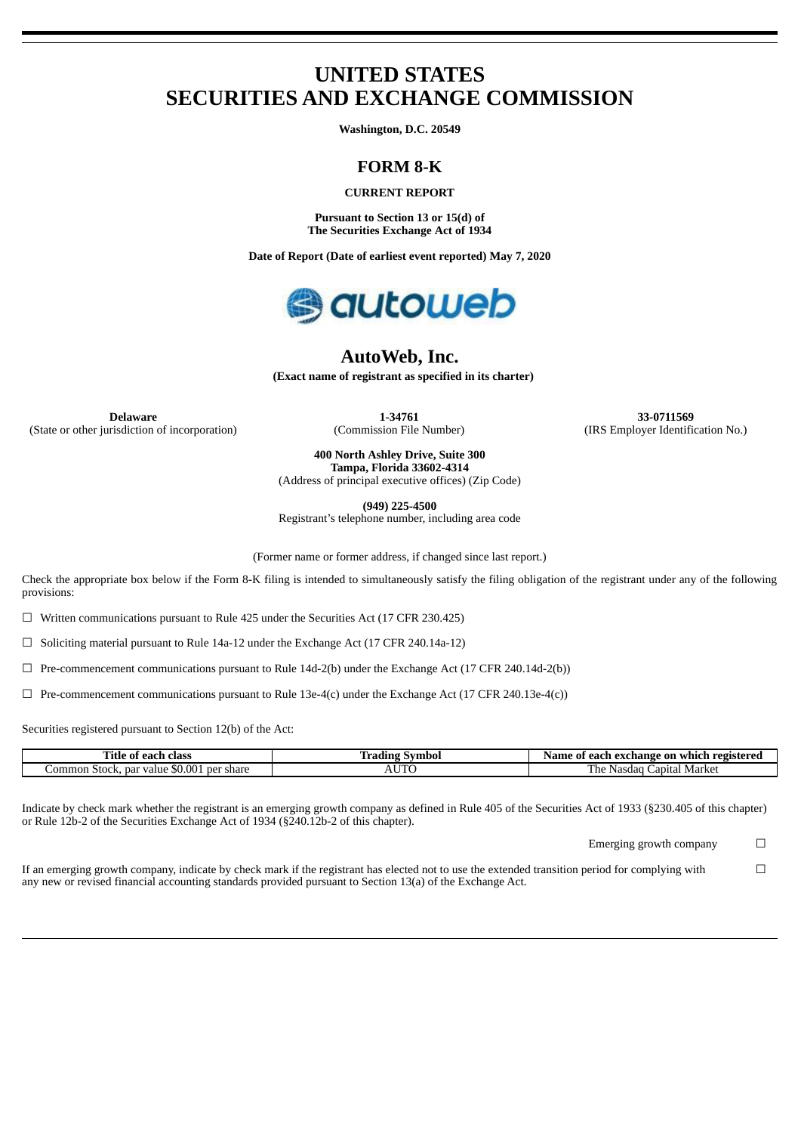## **UNITED STATES SECURITIES AND EXCHANGE COMMISSION**

**Washington, D.C. 20549**

## **FORM 8-K**

#### **CURRENT REPORT**

**Pursuant to Section 13 or 15(d) of The Securities Exchange Act of 1934**

**Date of Report (Date of earliest event reported) May 7, 2020**



### **AutoWeb, Inc.**

**(Exact name of registrant as specified in its charter)**

**Delaware 1-34761 33-0711569** (State or other jurisdiction of incorporation) (Commission File Number) (IRS Employer Identification No.)

**400 North Ashley Drive, Suite 300 Tampa, Florida 33602-4314** (Address of principal executive offices) (Zip Code)

**(949) 225-4500**

Registrant's telephone number, including area code

(Former name or former address, if changed since last report.)

Check the appropriate box below if the Form 8-K filing is intended to simultaneously satisfy the filing obligation of the registrant under any of the following provisions:

☐ Written communications pursuant to Rule 425 under the Securities Act (17 CFR 230.425)

 $\Box$  Soliciting material pursuant to Rule 14a-12 under the Exchange Act (17 CFR 240.14a-12)

 $\Box$  Pre-commencement communications pursuant to Rule 14d-2(b) under the Exchange Act (17 CFR 240.14d-2(b))

 $\Box$  Pre-commencement communications pursuant to Rule 13e-4(c) under the Exchange Act (17 CFR 240.13e-4(c))

Securities registered pursuant to Section 12(b) of the Act:

| L'itle<br>class<br>each<br>01                               | rading<br>Symbol  | registered<br>a exchange -<br>$\sqrt{am}$ e<br>0I<br>-which<br>each<br>oт |
|-------------------------------------------------------------|-------------------|---------------------------------------------------------------------------|
| \$0,001<br>par value<br>share<br>.ommon '<br>ner.<br>Stock. | $\tau$ and $\tau$ | –<br>Capital Market<br>ısdac<br>1 he<br>IN d                              |

Indicate by check mark whether the registrant is an emerging growth company as defined in Rule 405 of the Securities Act of 1933 (§230.405 of this chapter) or Rule 12b-2 of the Securities Exchange Act of 1934 (§240.12b-2 of this chapter).

Emerging growth company  $\Box$ 

If an emerging growth company, indicate by check mark if the registrant has elected not to use the extended transition period for complying with any new or revised financial accounting standards provided pursuant to Section 13(a) of the Exchange Act. ☐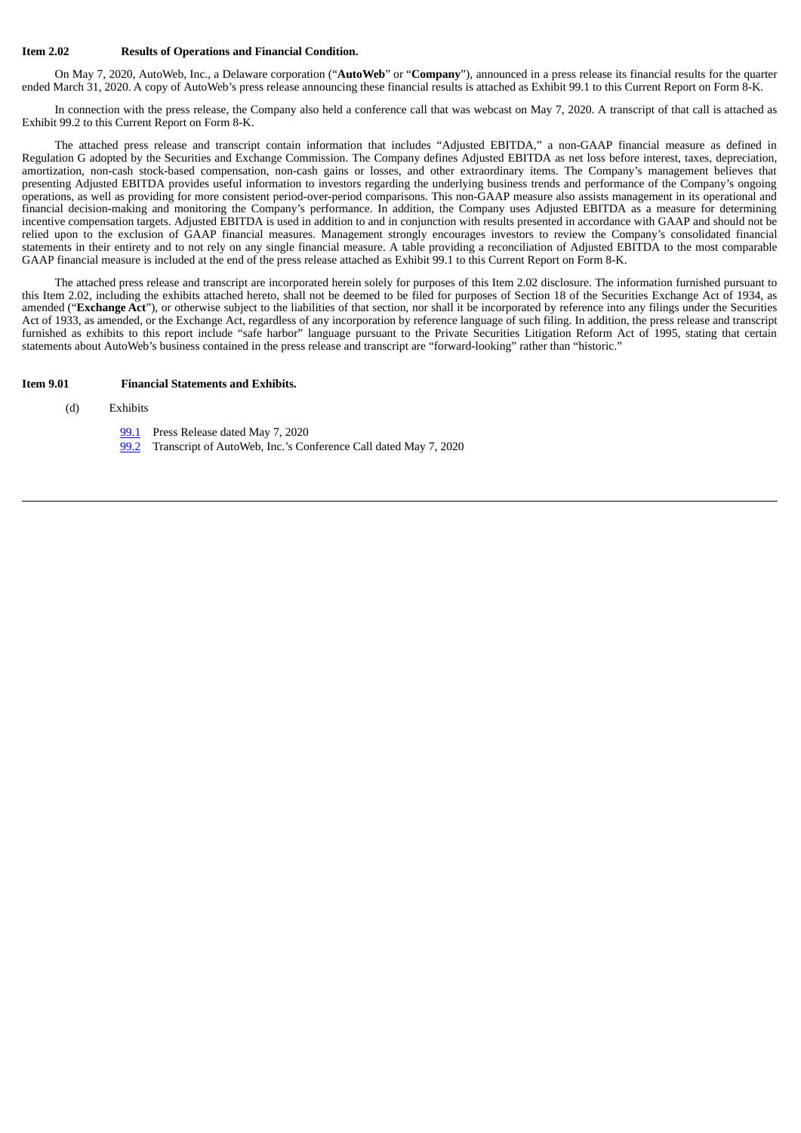#### **Item 2.02 Results of Operations and Financial Condition.**

On May 7, 2020, AutoWeb, Inc., a Delaware corporation ("**AutoWeb**" or "**Company**"), announced in a press release its financial results for the quarter ended March 31, 2020. A copy of AutoWeb's press release announcing these financial results is attached as Exhibit 99.1 to this Current Report on Form 8-K.

In connection with the press release, the Company also held a conference call that was webcast on May 7, 2020. A transcript of that call is attached as Exhibit 99.2 to this Current Report on Form 8-K.

The attached press release and transcript contain information that includes "Adjusted EBITDA," a non-GAAP financial measure as defined in Regulation G adopted by the Securities and Exchange Commission. The Company defines Adjusted EBITDA as net loss before interest, taxes, depreciation, amortization, non-cash stock-based compensation, non-cash gains or losses, and other extraordinary items. The Company's management believes that presenting Adjusted EBITDA provides useful information to investors regarding the underlying business trends and performance of the Company's ongoing operations, as well as providing for more consistent period-over-period comparisons. This non-GAAP measure also assists management in its operational and financial decision-making and monitoring the Company's performance. In addition, the Company uses Adjusted EBITDA as a measure for determining incentive compensation targets. Adjusted EBITDA is used in addition to and in conjunction with results presented in accordance with GAAP and should not be relied upon to the exclusion of GAAP financial measures. Management strongly encourages investors to review the Company's consolidated financial statements in their entirety and to not rely on any single financial measure. A table providing a reconciliation of Adjusted EBITDA to the most comparable GAAP financial measure is included at the end of the press release attached as Exhibit 99.1 to this Current Report on Form 8-K.

The attached press release and transcript are incorporated herein solely for purposes of this Item 2.02 disclosure. The information furnished pursuant to this Item 2.02, including the exhibits attached hereto, shall not be deemed to be filed for purposes of Section 18 of the Securities Exchange Act of 1934, as amended ("**Exchange Act**"), or otherwise subject to the liabilities of that section, nor shall it be incorporated by reference into any filings under the Securities Act of 1933, as amended, or the Exchange Act, regardless of any incorporation by reference language of such filing. In addition, the press release and transcript furnished as exhibits to this report include "safe harbor" language pursuant to the Private Securities Litigation Reform Act of 1995, stating that certain statements about AutoWeb's business contained in the press release and transcript are "forward-looking" rather than "historic."

#### **Item 9.01 Financial Statements and Exhibits.**

(d) Exhibits

- [99.1](#page-3-0) Press Release dated May 7, 2020
- [99.2](#page-11-0) Transcript of AutoWeb, Inc.'s Conference Call dated May 7, 2020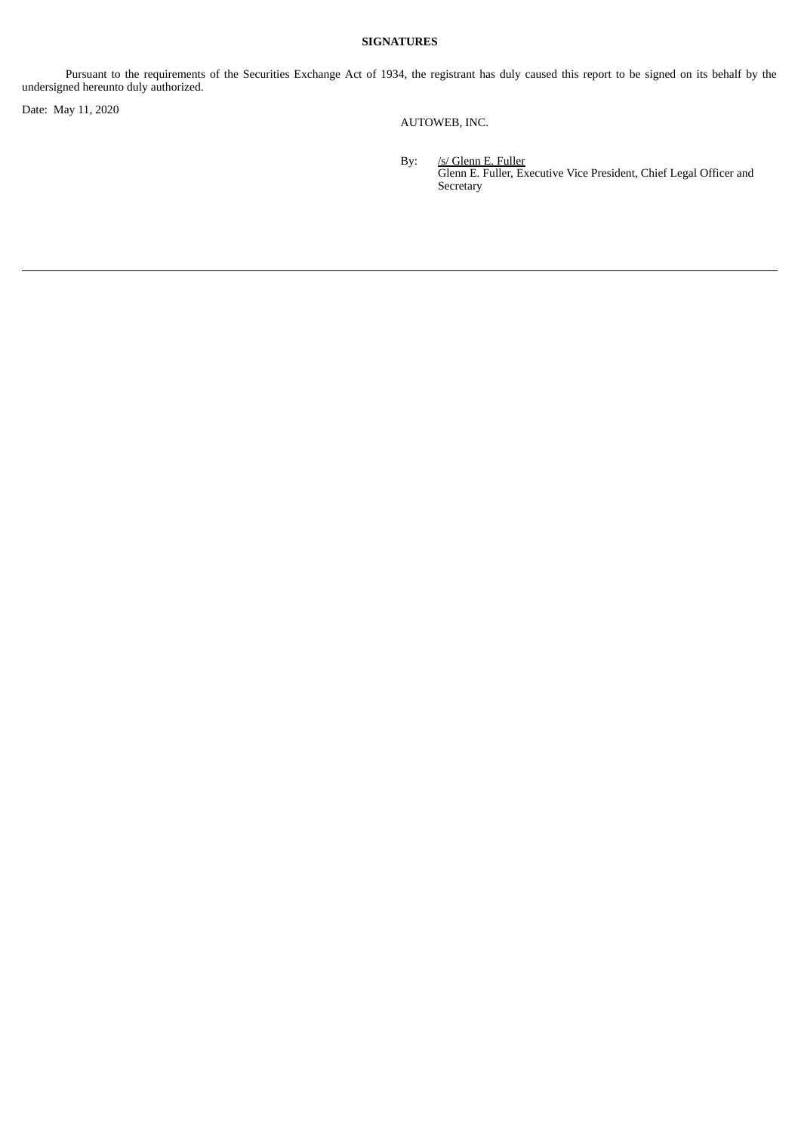#### **SIGNATURES**

Pursuant to the requirements of the Securities Exchange Act of 1934, the registrant has duly caused this report to be signed on its behalf by the undersigned hereunto duly authorized.

Date: May 11, 2020

AUTOWEB, INC.

By: /s/ Glenn E. Fuller Glenn E. Fuller, Executive Vice President, Chief Legal Officer and Secretary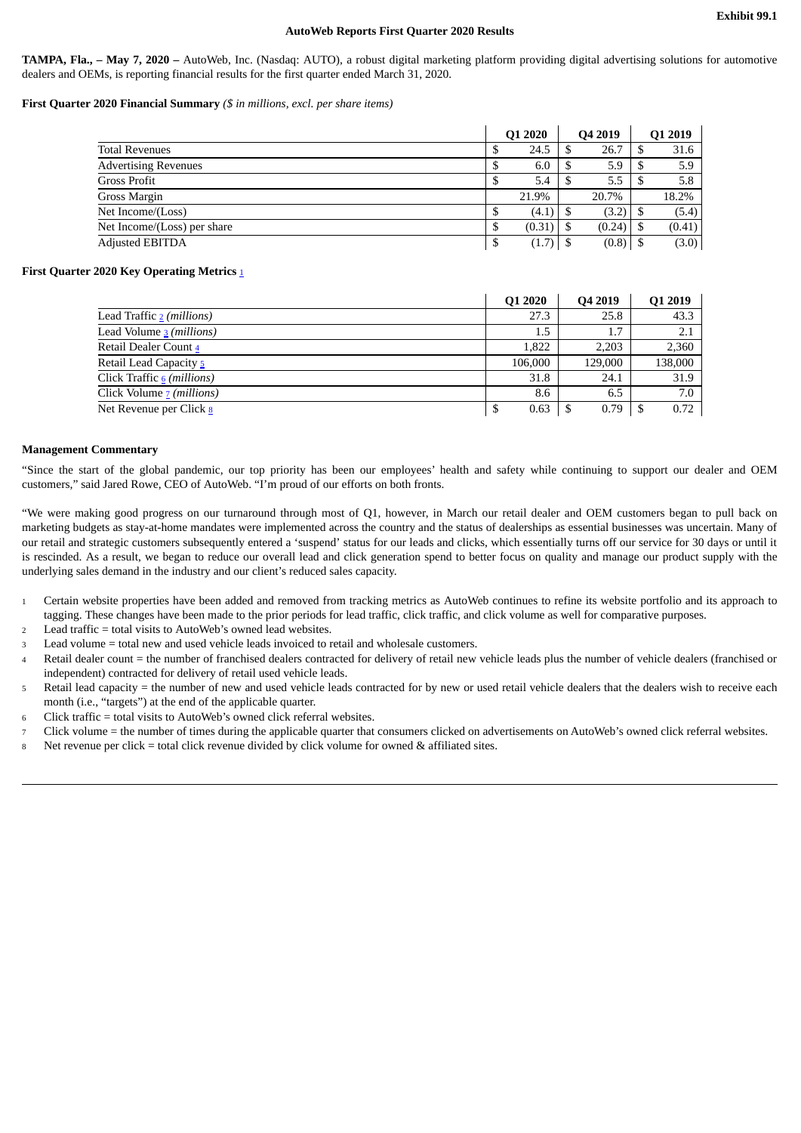#### **AutoWeb Reports First Quarter 2020 Results**

<span id="page-3-0"></span>**TAMPA, Fla., – May 7, 2020 –** AutoWeb, Inc. (Nasdaq: AUTO), a robust digital marketing platform providing digital advertising solutions for automotive dealers and OEMs, is reporting financial results for the first quarter ended March 31, 2020.

**First Quarter 2020 Financial Summary** *(\$ in millions, excl. per share items)*

|                             |    | Q1 2020    |     | O <sub>4</sub> 2019 |     | Q1 2019 |
|-----------------------------|----|------------|-----|---------------------|-----|---------|
| <b>Total Revenues</b>       | D  | 24.5       | - 5 | 26.7                |     | 31.6    |
| <b>Advertising Revenues</b> | لت | 6.0        | - S | 5.9                 | - S | 5.9     |
| Gross Profit                |    | 5.4        | - S | 5.5                 | - S | 5.8     |
| Gross Margin                |    | 21.9%      |     | 20.7%               |     | 18.2%   |
| Net Income/(Loss)           | Φ  | (4.1)      |     | (3.2)               |     | (5.4)   |
| Net Income/(Loss) per share | Φ  | (0.31)     |     | (0.24)              |     | (0.41)  |
| <b>Adjusted EBITDA</b>      | S, | $(1.7)$ \$ |     | (0.8)               |     | (3.0)   |

#### **First Quarter 2020 Key Operating Metrics** [1](#page-3-1)

|                                  | Q1 2020   | Q4 2019 |    | Q1 2019 |
|----------------------------------|-----------|---------|----|---------|
| Lead Traffic $2$ (millions)      | 27.3      | 25.8    |    | 43.3    |
| Lead Volume 3 (millions)         | 1.5       | 1.7     |    |         |
| Retail Dealer Count 4            | 1.822     | 2.203   |    | 2,360   |
| Retail Lead Capacity 5           | 106.000   | 129,000 |    | 138,000 |
| Click Traffic $6$ (millions)     | 31.8      | 24.1    |    | 31.9    |
| Click Volume <i>z</i> (millions) | 8.6       | 6.5     |    | 7.0     |
| Net Revenue per Click 8          | 0.63<br>S | 0.79    | .S | 0.72    |

#### **Management Commentary**

"Since the start of the global pandemic, our top priority has been our employees' health and safety while continuing to support our dealer and OEM customers," said Jared Rowe, CEO of AutoWeb. "I'm proud of our efforts on both fronts.

"We were making good progress on our turnaround through most of Q1, however, in March our retail dealer and OEM customers began to pull back on marketing budgets as stay-at-home mandates were implemented across the country and the status of dealerships as essential businesses was uncertain. Many of our retail and strategic customers subsequently entered a 'suspend' status for our leads and clicks, which essentially turns off our service for 30 days or until it is rescinded. As a result, we began to reduce our overall lead and click generation spend to better focus on quality and manage our product supply with the underlying sales demand in the industry and our client's reduced sales capacity.

- <span id="page-3-1"></span>1 Certain website properties have been added and removed from tracking metrics as AutoWeb continues to refine its website portfolio and its approach to tagging. These changes have been made to the prior periods for lead traffic, click traffic, and click volume as well for comparative purposes.
- <span id="page-3-2"></span>2 Lead traffic = total visits to AutoWeb's owned lead websites.
- <span id="page-3-3"></span>3 Lead volume = total new and used vehicle leads invoiced to retail and wholesale customers.
- <span id="page-3-4"></span>4 Retail dealer count = the number of franchised dealers contracted for delivery of retail new vehicle leads plus the number of vehicle dealers (franchised or independent) contracted for delivery of retail used vehicle leads.
- <span id="page-3-5"></span>5 Retail lead capacity = the number of new and used vehicle leads contracted for by new or used retail vehicle dealers that the dealers wish to receive each month (i.e., "targets") at the end of the applicable quarter.
- <span id="page-3-6"></span>6 Click traffic = total visits to AutoWeb's owned click referral websites.
- <span id="page-3-7"></span>7 Click volume = the number of times during the applicable quarter that consumers clicked on advertisements on AutoWeb's owned click referral websites.
- <span id="page-3-8"></span>8 Net revenue per click = total click revenue divided by click volume for owned & affiliated sites.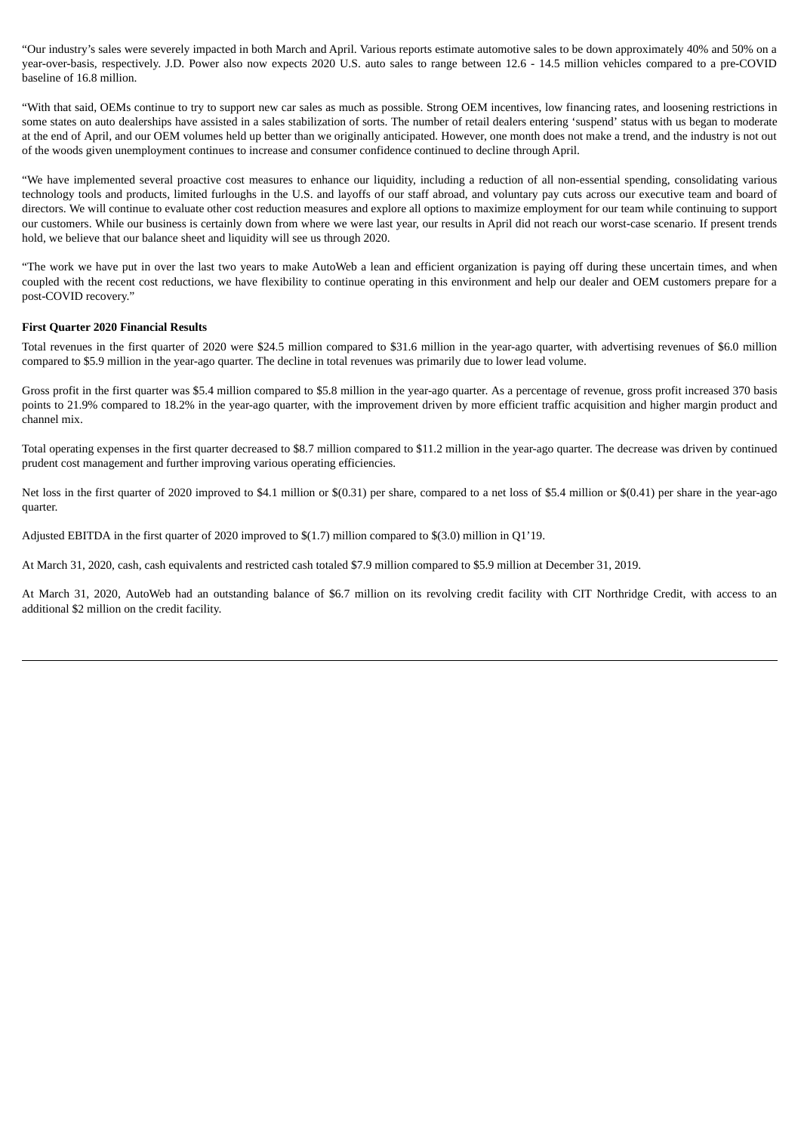"Our industry's sales were severely impacted in both March and April. Various reports estimate automotive sales to be down approximately 40% and 50% on a year-over-basis, respectively. J.D. Power also now expects 2020 U.S. auto sales to range between 12.6 - 14.5 million vehicles compared to a pre-COVID baseline of 16.8 million.

"With that said, OEMs continue to try to support new car sales as much as possible. Strong OEM incentives, low financing rates, and loosening restrictions in some states on auto dealerships have assisted in a sales stabilization of sorts. The number of retail dealers entering 'suspend' status with us began to moderate at the end of April, and our OEM volumes held up better than we originally anticipated. However, one month does not make a trend, and the industry is not out of the woods given unemployment continues to increase and consumer confidence continued to decline through April.

"We have implemented several proactive cost measures to enhance our liquidity, including a reduction of all non-essential spending, consolidating various technology tools and products, limited furloughs in the U.S. and layoffs of our staff abroad, and voluntary pay cuts across our executive team and board of directors. We will continue to evaluate other cost reduction measures and explore all options to maximize employment for our team while continuing to support our customers. While our business is certainly down from where we were last year, our results in April did not reach our worst-case scenario. If present trends hold, we believe that our balance sheet and liquidity will see us through 2020.

"The work we have put in over the last two years to make AutoWeb a lean and efficient organization is paying off during these uncertain times, and when coupled with the recent cost reductions, we have flexibility to continue operating in this environment and help our dealer and OEM customers prepare for a post-COVID recovery."

#### **First Quarter 2020 Financial Results**

Total revenues in the first quarter of 2020 were \$24.5 million compared to \$31.6 million in the year-ago quarter, with advertising revenues of \$6.0 million compared to \$5.9 million in the year-ago quarter. The decline in total revenues was primarily due to lower lead volume.

Gross profit in the first quarter was \$5.4 million compared to \$5.8 million in the year-ago quarter. As a percentage of revenue, gross profit increased 370 basis points to 21.9% compared to 18.2% in the year-ago quarter, with the improvement driven by more efficient traffic acquisition and higher margin product and channel mix.

Total operating expenses in the first quarter decreased to \$8.7 million compared to \$11.2 million in the year-ago quarter. The decrease was driven by continued prudent cost management and further improving various operating efficiencies.

Net loss in the first quarter of 2020 improved to \$4.1 million or \$(0.31) per share, compared to a net loss of \$5.4 million or \$(0.41) per share in the year-ago quarter.

Adjusted EBITDA in the first quarter of 2020 improved to \$(1.7) million compared to \$(3.0) million in Q1'19.

At March 31, 2020, cash, cash equivalents and restricted cash totaled \$7.9 million compared to \$5.9 million at December 31, 2019.

At March 31, 2020, AutoWeb had an outstanding balance of \$6.7 million on its revolving credit facility with CIT Northridge Credit, with access to an additional \$2 million on the credit facility.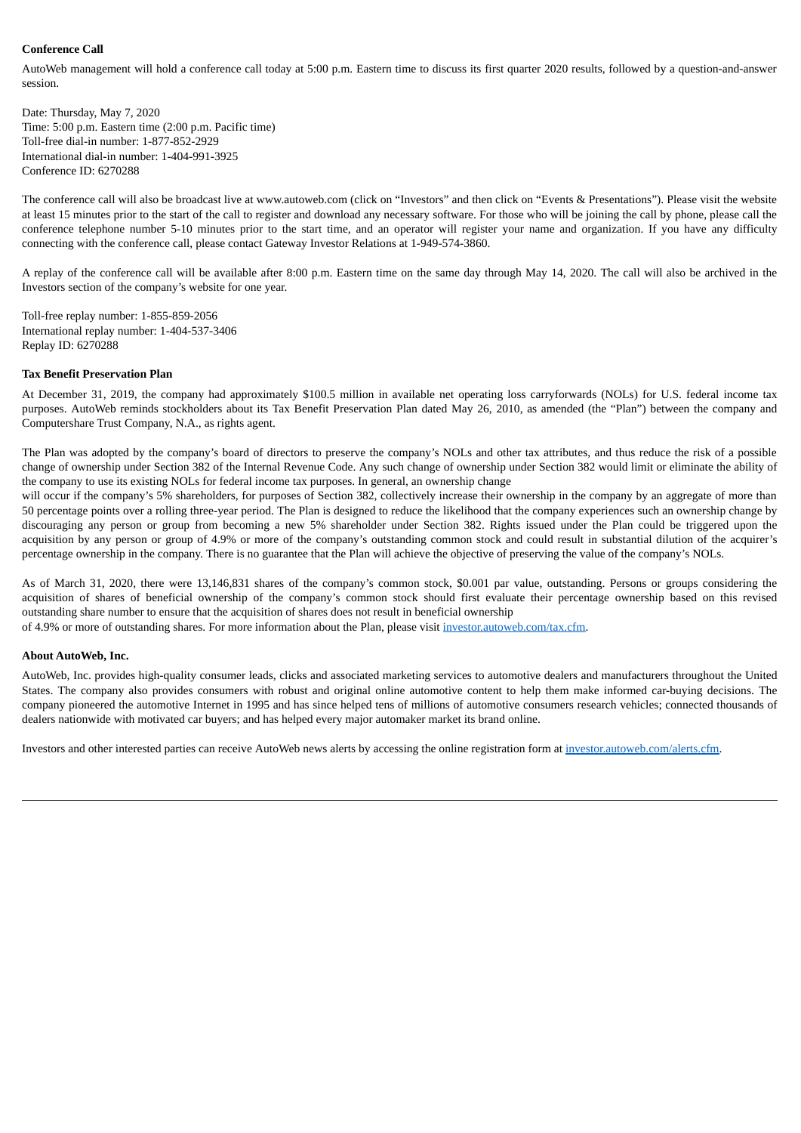#### **Conference Call**

AutoWeb management will hold a conference call today at 5:00 p.m. Eastern time to discuss its first quarter 2020 results, followed by a question-and-answer session.

Date: Thursday, May 7, 2020 Time: 5:00 p.m. Eastern time (2:00 p.m. Pacific time) Toll-free dial-in number: 1-877-852-2929 International dial-in number: 1-404-991-3925 Conference ID: 6270288

The conference call will also be broadcast live at www.autoweb.com (click on "Investors" and then click on "Events & Presentations"). Please visit the website at least 15 minutes prior to the start of the call to register and download any necessary software. For those who will be joining the call by phone, please call the conference telephone number 5-10 minutes prior to the start time, and an operator will register your name and organization. If you have any difficulty connecting with the conference call, please contact Gateway Investor Relations at 1-949-574-3860.

A replay of the conference call will be available after 8:00 p.m. Eastern time on the same day through May 14, 2020. The call will also be archived in the Investors section of the company's website for one year.

Toll-free replay number: 1-855-859-2056 International replay number: 1-404-537-3406 Replay ID: 6270288

#### **Tax Benefit Preservation Plan**

At December 31, 2019, the company had approximately \$100.5 million in available net operating loss carryforwards (NOLs) for U.S. federal income tax purposes. AutoWeb reminds stockholders about its Tax Benefit Preservation Plan dated May 26, 2010, as amended (the "Plan") between the company and Computershare Trust Company, N.A., as rights agent.

The Plan was adopted by the company's board of directors to preserve the company's NOLs and other tax attributes, and thus reduce the risk of a possible change of ownership under Section 382 of the Internal Revenue Code. Any such change of ownership under Section 382 would limit or eliminate the ability of the company to use its existing NOLs for federal income tax purposes. In general, an ownership change

will occur if the company's 5% shareholders, for purposes of Section 382, collectively increase their ownership in the company by an aggregate of more than 50 percentage points over a rolling three-year period. The Plan is designed to reduce the likelihood that the company experiences such an ownership change by discouraging any person or group from becoming a new 5% shareholder under Section 382. Rights issued under the Plan could be triggered upon the acquisition by any person or group of 4.9% or more of the company's outstanding common stock and could result in substantial dilution of the acquirer's percentage ownership in the company. There is no guarantee that the Plan will achieve the objective of preserving the value of the company's NOLs.

As of March 31, 2020, there were 13,146,831 shares of the company's common stock, \$0.001 par value, outstanding. Persons or groups considering the acquisition of shares of beneficial ownership of the company's common stock should first evaluate their percentage ownership based on this revised outstanding share number to ensure that the acquisition of shares does not result in beneficial ownership

of 4.9% or more of outstanding shares. For more information about the Plan, please visit investor.autoweb.com/tax.cfm.

#### **About AutoWeb, Inc.**

AutoWeb, Inc. provides high-quality consumer leads, clicks and associated marketing services to automotive dealers and manufacturers throughout the United States. The company also provides consumers with robust and original online automotive content to help them make informed car-buying decisions. The company pioneered the automotive Internet in 1995 and has since helped tens of millions of automotive consumers research vehicles; connected thousands of dealers nationwide with motivated car buyers; and has helped every major automaker market its brand online.

Investors and other interested parties can receive AutoWeb news alerts by accessing the online registration form at investor.autoweb.com/alerts.cfm.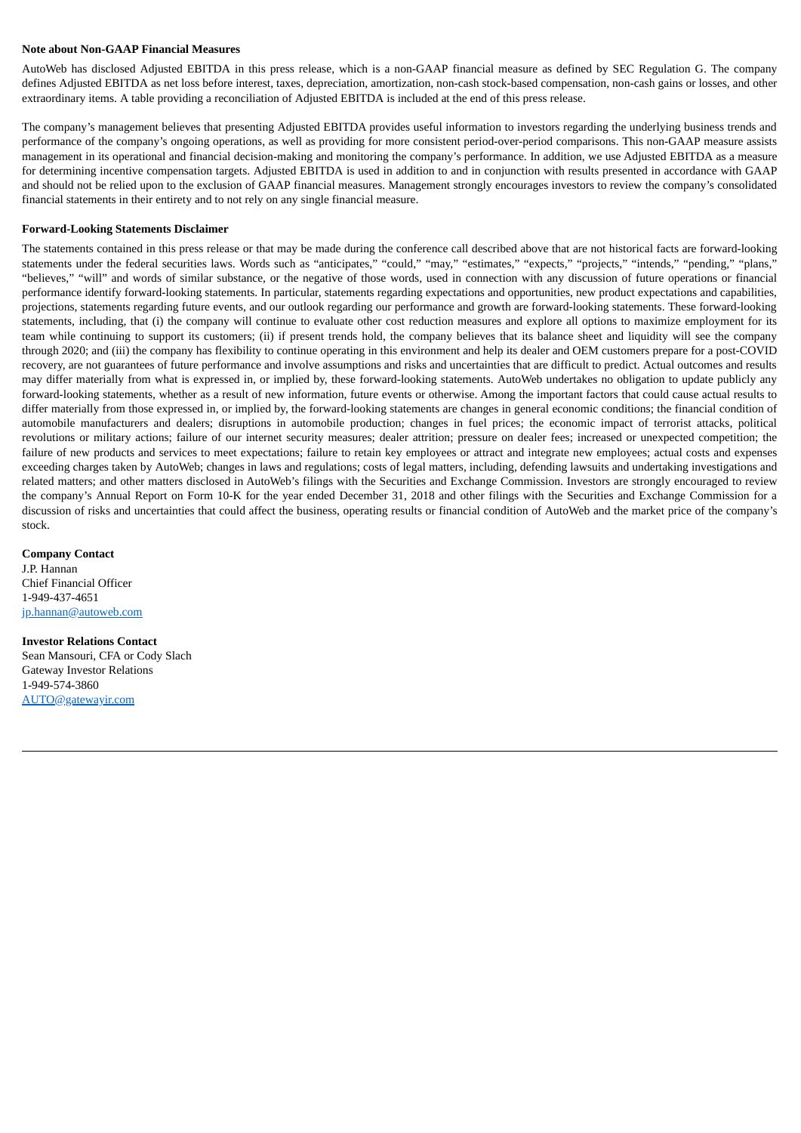#### **Note about Non-GAAP Financial Measures**

AutoWeb has disclosed Adjusted EBITDA in this press release, which is a non-GAAP financial measure as defined by SEC Regulation G. The company defines Adjusted EBITDA as net loss before interest, taxes, depreciation, amortization, non-cash stock-based compensation, non-cash gains or losses, and other extraordinary items. A table providing a reconciliation of Adjusted EBITDA is included at the end of this press release.

The company's management believes that presenting Adjusted EBITDA provides useful information to investors regarding the underlying business trends and performance of the company's ongoing operations, as well as providing for more consistent period-over-period comparisons. This non-GAAP measure assists management in its operational and financial decision-making and monitoring the company's performance. In addition, we use Adjusted EBITDA as a measure for determining incentive compensation targets. Adjusted EBITDA is used in addition to and in conjunction with results presented in accordance with GAAP and should not be relied upon to the exclusion of GAAP financial measures. Management strongly encourages investors to review the company's consolidated financial statements in their entirety and to not rely on any single financial measure.

#### **Forward-Looking Statements Disclaimer**

The statements contained in this press release or that may be made during the conference call described above that are not historical facts are forward-looking statements under the federal securities laws. Words such as "anticipates," "could," "may," "estimates," "expects," "projects," "intends," "pending," "plans," "believes," "will" and words of similar substance, or the negative of those words, used in connection with any discussion of future operations or financial performance identify forward-looking statements. In particular, statements regarding expectations and opportunities, new product expectations and capabilities, projections, statements regarding future events, and our outlook regarding our performance and growth are forward-looking statements. These forward-looking statements, including, that (i) the company will continue to evaluate other cost reduction measures and explore all options to maximize employment for its team while continuing to support its customers; (ii) if present trends hold, the company believes that its balance sheet and liquidity will see the company through 2020; and (iii) the company has flexibility to continue operating in this environment and help its dealer and OEM customers prepare for a post-COVID recovery, are not guarantees of future performance and involve assumptions and risks and uncertainties that are difficult to predict. Actual outcomes and results may differ materially from what is expressed in, or implied by, these forward-looking statements. AutoWeb undertakes no obligation to update publicly any forward-looking statements, whether as a result of new information, future events or otherwise. Among the important factors that could cause actual results to differ materially from those expressed in, or implied by, the forward-looking statements are changes in general economic conditions; the financial condition of automobile manufacturers and dealers; disruptions in automobile production; changes in fuel prices; the economic impact of terrorist attacks, political revolutions or military actions; failure of our internet security measures; dealer attrition; pressure on dealer fees; increased or unexpected competition; the failure of new products and services to meet expectations; failure to retain key employees or attract and integrate new employees; actual costs and expenses exceeding charges taken by AutoWeb; changes in laws and regulations; costs of legal matters, including, defending lawsuits and undertaking investigations and related matters; and other matters disclosed in AutoWeb's filings with the Securities and Exchange Commission. Investors are strongly encouraged to review the company's Annual Report on Form 10-K for the year ended December 31, 2018 and other filings with the Securities and Exchange Commission for a discussion of risks and uncertainties that could affect the business, operating results or financial condition of AutoWeb and the market price of the company's stock.

#### **Company Contact**

J.P. Hannan Chief Financial Officer 1-949-437-4651 jp.hannan@autoweb.com

#### **Investor Relations Contact**

Sean Mansouri, CFA or Cody Slach Gateway Investor Relations 1-949-574-3860 AUTO@gatewayir.com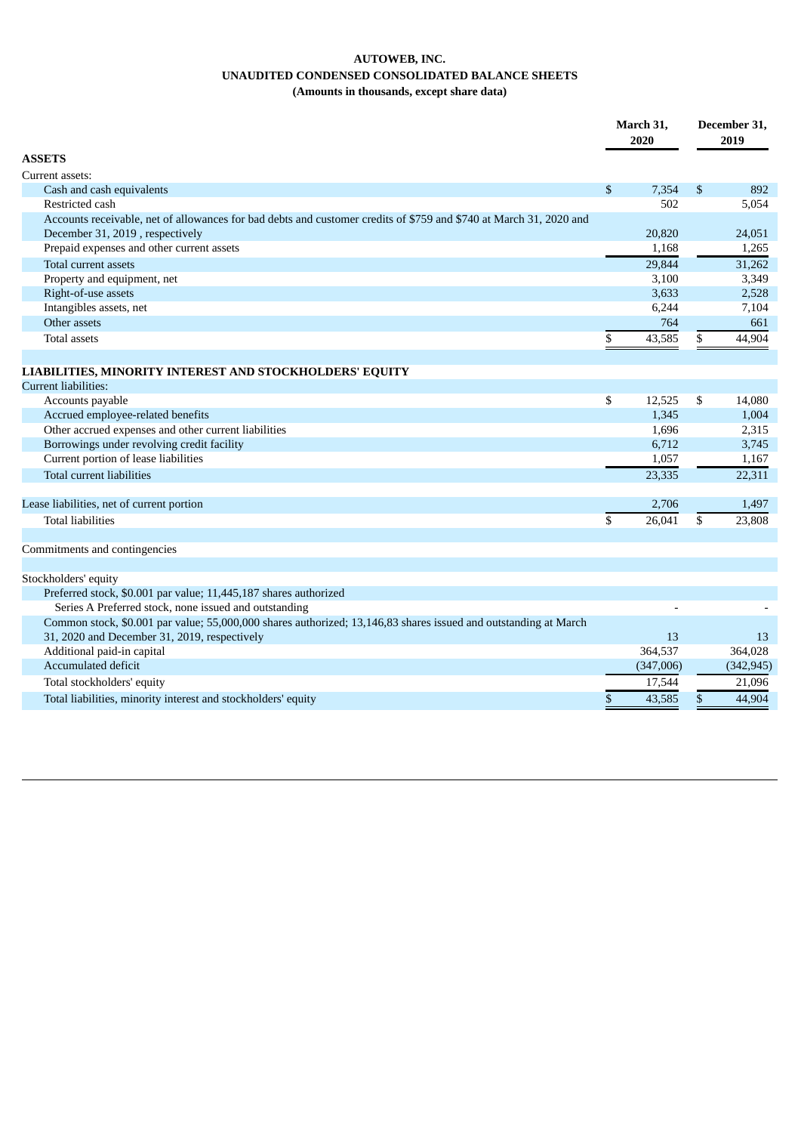## **AUTOWEB, INC. UNAUDITED CONDENSED CONSOLIDATED BALANCE SHEETS (Amounts in thousands, except share data)**

|                                                                                                                    | March 31,<br>2020 |           | December 31,<br>2019 |            |
|--------------------------------------------------------------------------------------------------------------------|-------------------|-----------|----------------------|------------|
| <b>ASSETS</b>                                                                                                      |                   |           |                      |            |
| Current assets:                                                                                                    |                   |           |                      |            |
| Cash and cash equivalents                                                                                          | \$                | 7,354     | \$                   | 892        |
| Restricted cash                                                                                                    |                   | 502       |                      | 5,054      |
| Accounts receivable, net of allowances for bad debts and customer credits of \$759 and \$740 at March 31, 2020 and |                   |           |                      |            |
| December 31, 2019, respectively                                                                                    |                   | 20,820    |                      | 24,051     |
| Prepaid expenses and other current assets                                                                          |                   | 1,168     |                      | 1,265      |
| Total current assets                                                                                               |                   | 29,844    |                      | 31,262     |
| Property and equipment, net                                                                                        |                   | 3,100     |                      | 3,349      |
| Right-of-use assets                                                                                                |                   | 3,633     |                      | 2,528      |
| Intangibles assets, net                                                                                            |                   | 6,244     |                      | 7,104      |
| Other assets                                                                                                       |                   | 764       |                      | 661        |
| <b>Total assets</b>                                                                                                | \$                | 43,585    | \$                   | 44,904     |
|                                                                                                                    |                   |           |                      |            |
| LIABILITIES, MINORITY INTEREST AND STOCKHOLDERS' EQUITY                                                            |                   |           |                      |            |
| <b>Current liabilities:</b>                                                                                        |                   |           |                      |            |
| Accounts payable                                                                                                   | \$                | 12,525    | \$                   | 14,080     |
| Accrued employee-related benefits                                                                                  |                   | 1.345     |                      | 1,004      |
| Other accrued expenses and other current liabilities                                                               |                   | 1,696     |                      | 2,315      |
| Borrowings under revolving credit facility                                                                         |                   | 6,712     |                      | 3,745      |
| Current portion of lease liabilities                                                                               |                   | 1,057     |                      | 1,167      |
| Total current liabilities                                                                                          |                   | 23,335    |                      | 22,311     |
| Lease liabilities, net of current portion                                                                          |                   | 2,706     |                      | 1,497      |
| <b>Total liabilities</b>                                                                                           | \$                | 26,041    | \$                   | 23,808     |
|                                                                                                                    |                   |           |                      |            |
| Commitments and contingencies                                                                                      |                   |           |                      |            |
| Stockholders' equity                                                                                               |                   |           |                      |            |
| Preferred stock, \$0.001 par value; 11,445,187 shares authorized                                                   |                   |           |                      |            |
| Series A Preferred stock, none issued and outstanding                                                              |                   |           |                      |            |
| Common stock, \$0.001 par value; 55,000,000 shares authorized; 13,146,83 shares issued and outstanding at March    |                   |           |                      |            |
| 31, 2020 and December 31, 2019, respectively                                                                       |                   | 13        |                      | 13         |
| Additional paid-in capital                                                                                         |                   | 364,537   |                      | 364,028    |
| Accumulated deficit                                                                                                |                   | (347,006) |                      | (342, 945) |
| Total stockholders' equity                                                                                         |                   | 17,544    |                      | 21,096     |
| Total liabilities, minority interest and stockholders' equity                                                      | \$                | 43,585    | \$                   | 44,904     |
|                                                                                                                    |                   |           |                      |            |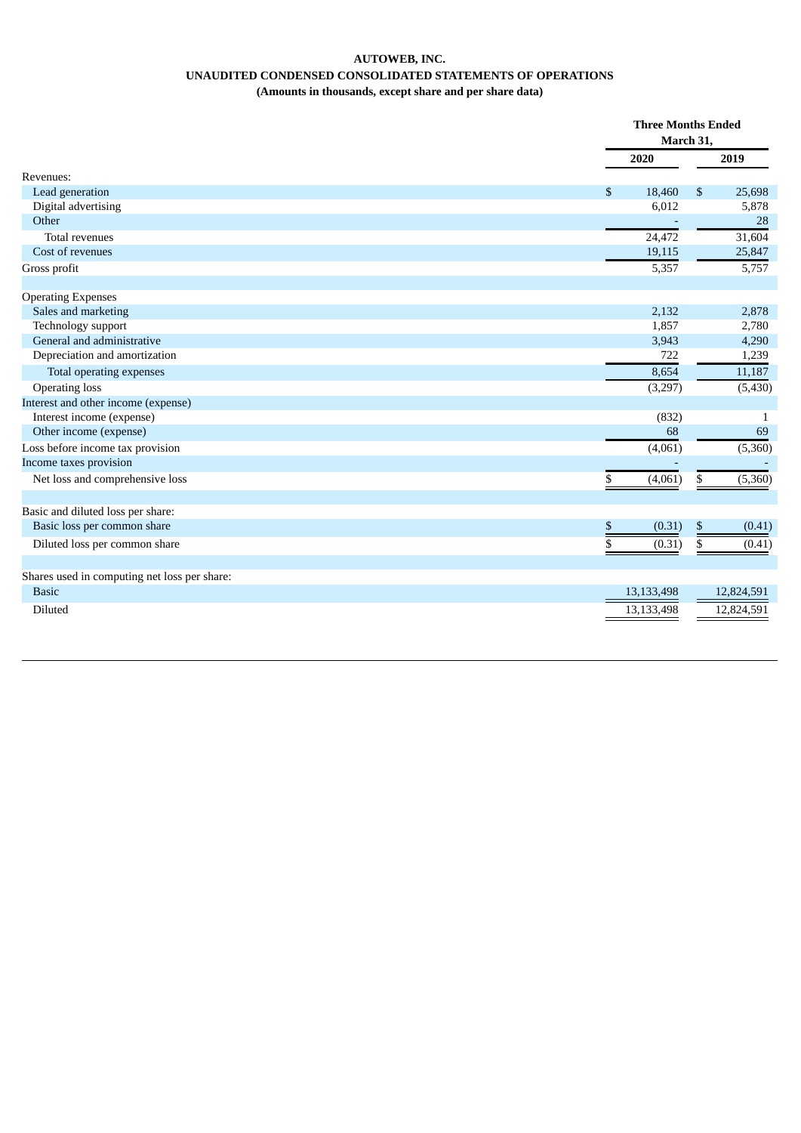## **AUTOWEB, INC. UNAUDITED CONDENSED CONSOLIDATED STATEMENTS OF OPERATIONS (Amounts in thousands, except share and per share data)**

|                                              | <b>Three Months Ended</b> | March 31,              |
|----------------------------------------------|---------------------------|------------------------|
|                                              | 2020                      | 2019                   |
| Revenues:                                    |                           |                        |
| Lead generation                              | \$<br>18,460              | \$<br>25,698           |
| Digital advertising                          | 6,012                     | 5,878                  |
| Other                                        |                           | 28                     |
| <b>Total revenues</b>                        | 24,472                    | 31,604                 |
| Cost of revenues                             | 19,115                    | 25,847                 |
| Gross profit                                 | 5,357                     | 5,757                  |
| <b>Operating Expenses</b>                    |                           |                        |
| Sales and marketing                          | 2,132                     | 2,878                  |
| Technology support                           | 1,857                     | 2,780                  |
| General and administrative                   | 3,943                     | 4,290                  |
| Depreciation and amortization                | 722                       | 1,239                  |
| Total operating expenses                     | 8,654                     | 11,187                 |
| <b>Operating loss</b>                        | (3,297)                   | (5, 430)               |
| Interest and other income (expense)          |                           |                        |
| Interest income (expense)                    | (832)                     | 1                      |
| Other income (expense)                       | 68                        | 69                     |
| Loss before income tax provision             | (4,061)                   | (5,360)                |
| Income taxes provision                       |                           |                        |
| Net loss and comprehensive loss              | \$<br>(4,061)             | (5,360)<br>\$          |
| Basic and diluted loss per share:            |                           |                        |
| Basic loss per common share                  | $\$$<br>(0.31)            | $\mathbb{S}$<br>(0.41) |
| Diluted loss per common share                | \$<br>(0.31)              | \$<br>(0.41)           |
|                                              |                           |                        |
| Shares used in computing net loss per share: |                           |                        |
| <b>Basic</b>                                 | 13,133,498                | 12,824,591             |
| Diluted                                      | 13,133,498                | 12,824,591             |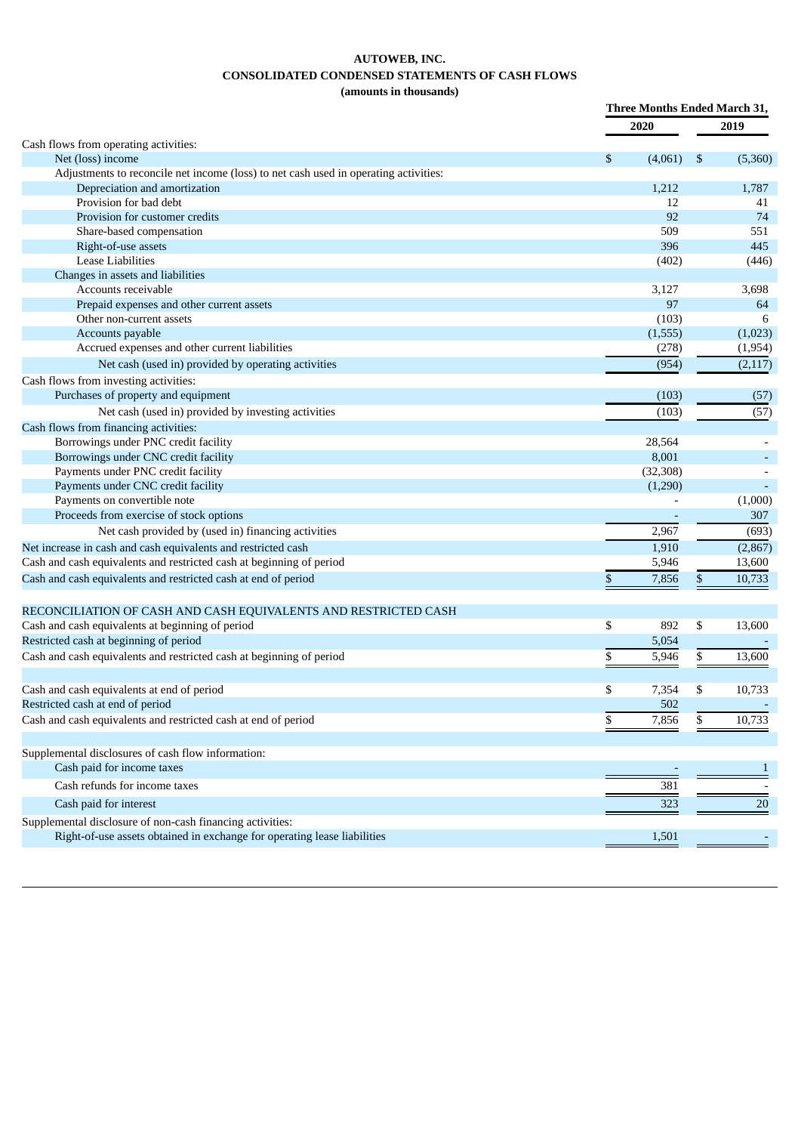## **AUTOWEB, INC. CONSOLIDATED CONDENSED STATEMENTS OF CASH FLOWS (amounts in thousands)**

|                                                                                      | Three Months Ended March 31, |           |    |          |
|--------------------------------------------------------------------------------------|------------------------------|-----------|----|----------|
|                                                                                      |                              | 2020      |    | 2019     |
| Cash flows from operating activities:                                                |                              |           |    |          |
| Net (loss) income                                                                    | \$                           | (4,061)   | \$ | (5,360)  |
| Adjustments to reconcile net income (loss) to net cash used in operating activities: |                              |           |    |          |
| Depreciation and amortization                                                        |                              | 1,212     |    | 1,787    |
| Provision for bad debt                                                               |                              | 12        |    | 41       |
| Provision for customer credits                                                       |                              | 92        |    | 74       |
| Share-based compensation                                                             |                              | 509       |    | 551      |
| Right-of-use assets                                                                  |                              | 396       |    | 445      |
| Lease Liabilities                                                                    |                              | (402)     |    | (446)    |
| Changes in assets and liabilities                                                    |                              |           |    |          |
| Accounts receivable                                                                  |                              | 3,127     |    | 3,698    |
| Prepaid expenses and other current assets                                            |                              | 97        |    | 64       |
| Other non-current assets                                                             |                              | (103)     |    | 6        |
| Accounts payable                                                                     |                              | (1, 555)  |    | (1,023)  |
| Accrued expenses and other current liabilities                                       |                              | (278)     |    | (1,954)  |
| Net cash (used in) provided by operating activities                                  |                              | (954)     |    | (2, 117) |
| Cash flows from investing activities:                                                |                              |           |    |          |
| Purchases of property and equipment                                                  |                              | (103)     |    | (57)     |
| Net cash (used in) provided by investing activities                                  |                              | (103)     |    | (57)     |
| Cash flows from financing activities:                                                |                              |           |    |          |
| Borrowings under PNC credit facility                                                 |                              | 28,564    |    |          |
| Borrowings under CNC credit facility                                                 |                              | 8,001     |    |          |
| Payments under PNC credit facility                                                   |                              | (32, 308) |    |          |
| Payments under CNC credit facility                                                   |                              | (1,290)   |    |          |
| Payments on convertible note                                                         |                              |           |    | (1,000)  |
| Proceeds from exercise of stock options                                              |                              |           |    | 307      |
| Net cash provided by (used in) financing activities                                  |                              | 2,967     |    | (693)    |
| Net increase in cash and cash equivalents and restricted cash                        |                              | 1,910     |    | (2,867)  |
| Cash and cash equivalents and restricted cash at beginning of period                 |                              | 5,946     |    | 13,600   |
| Cash and cash equivalents and restricted cash at end of period                       | \$                           | 7,856     | \$ | 10,733   |
|                                                                                      |                              |           |    |          |
| RECONCILIATION OF CASH AND CASH EQUIVALENTS AND RESTRICTED CASH                      |                              |           |    |          |
| Cash and cash equivalents at beginning of period                                     | \$                           | 892       | \$ | 13,600   |
| Restricted cash at beginning of period                                               |                              | 5,054     |    |          |
| Cash and cash equivalents and restricted cash at beginning of period                 | \$                           | 5,946     | \$ | 13,600   |
|                                                                                      |                              |           |    |          |
| Cash and cash equivalents at end of period                                           | \$                           | 7,354     | \$ | 10,733   |
| Restricted cash at end of period                                                     |                              | 502       |    |          |
| Cash and cash equivalents and restricted cash at end of period                       | \$                           | 7,856     | \$ | 10,733   |
|                                                                                      |                              |           |    |          |
| Supplemental disclosures of cash flow information:                                   |                              |           |    |          |
| Cash paid for income taxes                                                           |                              |           |    | 1        |
|                                                                                      |                              |           |    |          |
| Cash refunds for income taxes                                                        |                              | 381       |    |          |
| Cash paid for interest                                                               |                              | 323       |    | 20       |
| Supplemental disclosure of non-cash financing activities:                            |                              |           |    |          |
| Right-of-use assets obtained in exchange for operating lease liabilities             |                              | 1,501     |    |          |
|                                                                                      |                              |           |    |          |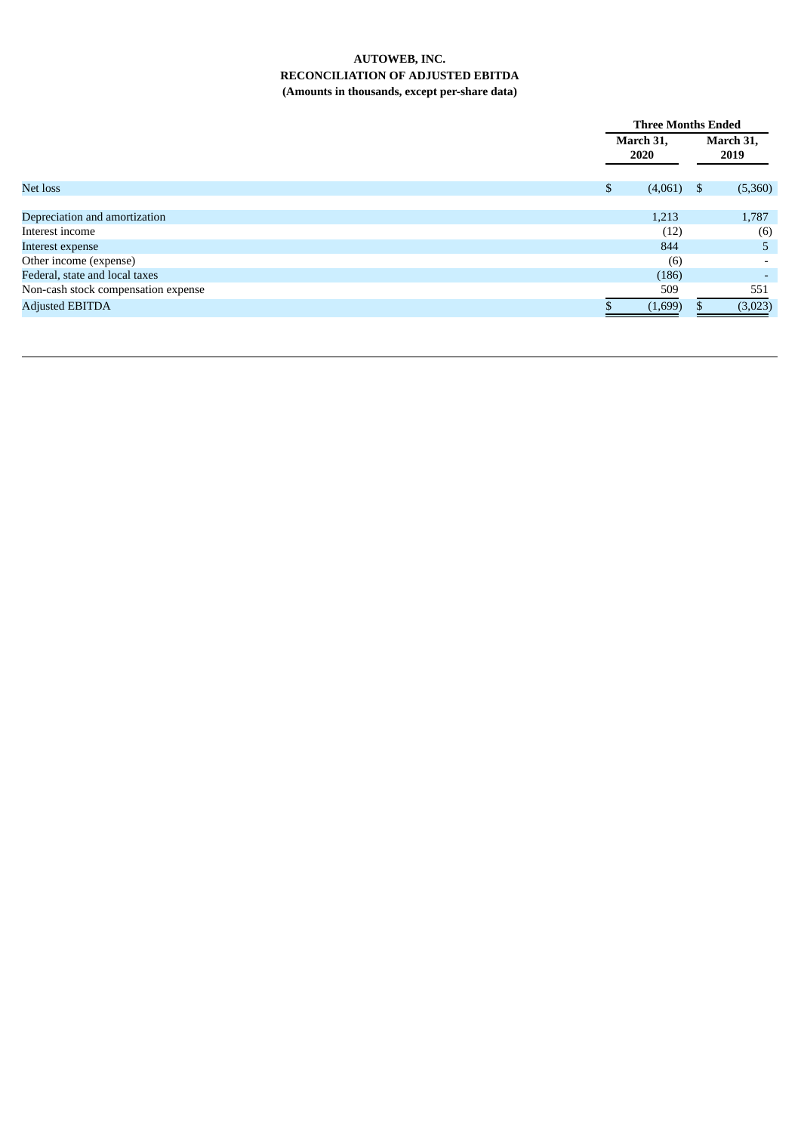## **AUTOWEB, INC. RECONCILIATION OF ADJUSTED EBITDA (Amounts in thousands, except per-share data)**

|                                     | <b>Three Months Ended</b> |              |  |                   |
|-------------------------------------|---------------------------|--------------|--|-------------------|
|                                     | March 31,<br>2020         |              |  | March 31,<br>2019 |
| Net loss                            | \$                        | $(4,061)$ \$ |  | (5,360)           |
| Depreciation and amortization       |                           | 1,213        |  | 1,787             |
| Interest income                     |                           | (12)         |  | (6)               |
| Interest expense                    |                           | 844          |  | 5                 |
| Other income (expense)              |                           | (6)          |  |                   |
| Federal, state and local taxes      |                           | (186)        |  |                   |
| Non-cash stock compensation expense |                           | 509          |  | 551               |
| <b>Adjusted EBITDA</b>              |                           | (1,699)      |  | (3,023)           |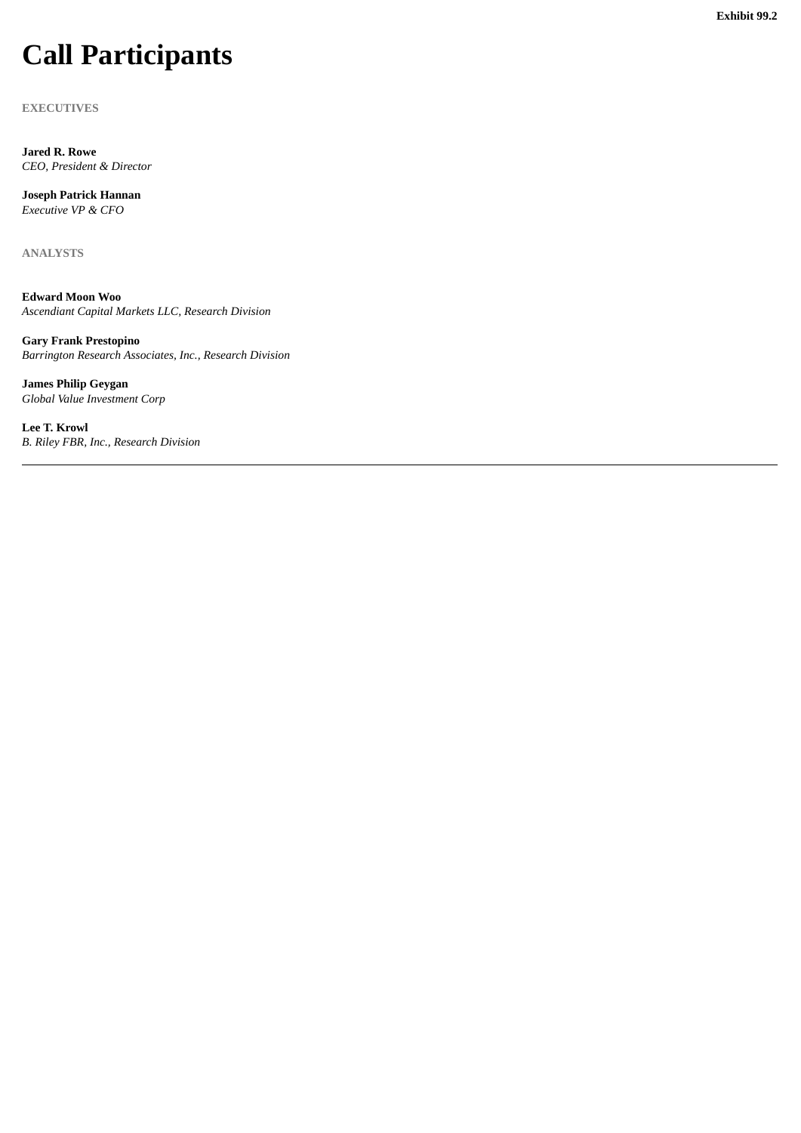#### **Exhibit 99.2**

# <span id="page-11-0"></span>**Call Participants**

**EXECUTIVES**

**Jared R. Rowe** *CEO, President & Director*

**Joseph Patrick Hannan** *Executive VP & CFO*

**ANALYSTS**

**Edward Moon Woo** *Ascendiant Capital Markets LLC, Research Division*

**Gary Frank Prestopino** *Barrington Research Associates, Inc., Research Division*

**James Philip Geygan** *Global Value Investment Corp*

**Lee T. Krowl** *B. Riley FBR, Inc., Research Division*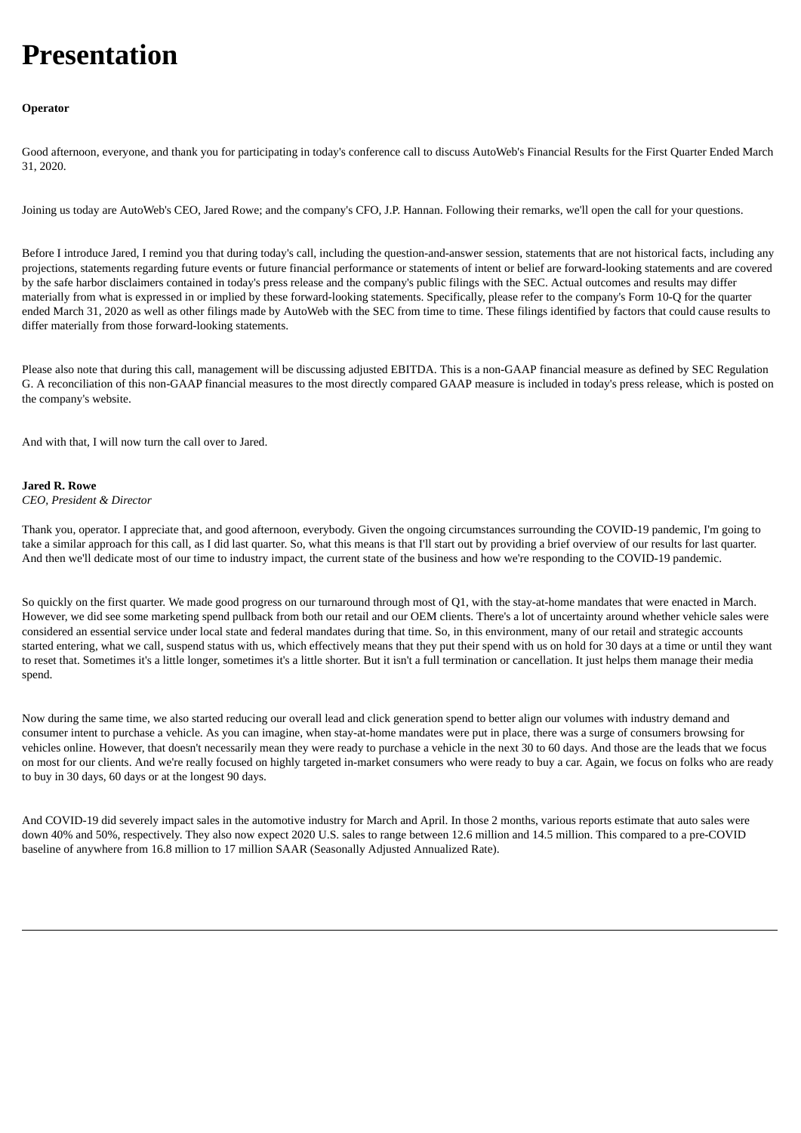## **Presentation**

#### **Operator**

Good afternoon, everyone, and thank you for participating in today's conference call to discuss AutoWeb's Financial Results for the First Quarter Ended March 31, 2020.

Joining us today are AutoWeb's CEO, Jared Rowe; and the company's CFO, J.P. Hannan. Following their remarks, we'll open the call for your questions.

Before I introduce Jared, I remind you that during today's call, including the question-and-answer session, statements that are not historical facts, including any projections, statements regarding future events or future financial performance or statements of intent or belief are forward-looking statements and are covered by the safe harbor disclaimers contained in today's press release and the company's public filings with the SEC. Actual outcomes and results may differ materially from what is expressed in or implied by these forward-looking statements. Specifically, please refer to the company's Form 10-Q for the quarter ended March 31, 2020 as well as other filings made by AutoWeb with the SEC from time to time. These filings identified by factors that could cause results to differ materially from those forward-looking statements.

Please also note that during this call, management will be discussing adjusted EBITDA. This is a non-GAAP financial measure as defined by SEC Regulation G. A reconciliation of this non-GAAP financial measures to the most directly compared GAAP measure is included in today's press release, which is posted on the company's website.

And with that, I will now turn the call over to Jared.

#### **Jared R. Rowe**

*CEO, President & Director*

Thank you, operator. I appreciate that, and good afternoon, everybody. Given the ongoing circumstances surrounding the COVID-19 pandemic, I'm going to take a similar approach for this call, as I did last quarter. So, what this means is that I'll start out by providing a brief overview of our results for last quarter. And then we'll dedicate most of our time to industry impact, the current state of the business and how we're responding to the COVID-19 pandemic.

So quickly on the first quarter. We made good progress on our turnaround through most of Q1, with the stay-at-home mandates that were enacted in March. However, we did see some marketing spend pullback from both our retail and our OEM clients. There's a lot of uncertainty around whether vehicle sales were considered an essential service under local state and federal mandates during that time. So, in this environment, many of our retail and strategic accounts started entering, what we call, suspend status with us, which effectively means that they put their spend with us on hold for 30 days at a time or until they want to reset that. Sometimes it's a little longer, sometimes it's a little shorter. But it isn't a full termination or cancellation. It just helps them manage their media spend.

Now during the same time, we also started reducing our overall lead and click generation spend to better align our volumes with industry demand and consumer intent to purchase a vehicle. As you can imagine, when stay-at-home mandates were put in place, there was a surge of consumers browsing for vehicles online. However, that doesn't necessarily mean they were ready to purchase a vehicle in the next 30 to 60 days. And those are the leads that we focus on most for our clients. And we're really focused on highly targeted in-market consumers who were ready to buy a car. Again, we focus on folks who are ready to buy in 30 days, 60 days or at the longest 90 days.

And COVID-19 did severely impact sales in the automotive industry for March and April. In those 2 months, various reports estimate that auto sales were down 40% and 50%, respectively. They also now expect 2020 U.S. sales to range between 12.6 million and 14.5 million. This compared to a pre-COVID baseline of anywhere from 16.8 million to 17 million SAAR (Seasonally Adjusted Annualized Rate).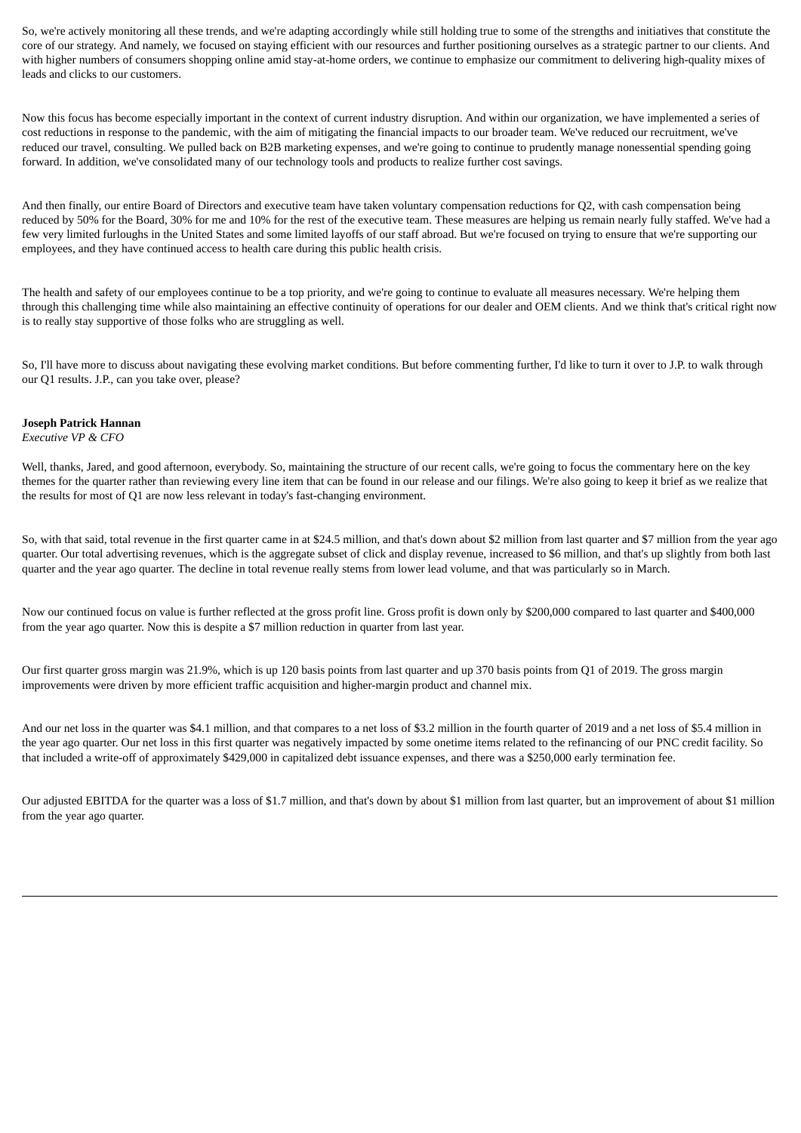So, we're actively monitoring all these trends, and we're adapting accordingly while still holding true to some of the strengths and initiatives that constitute the core of our strategy. And namely, we focused on staying efficient with our resources and further positioning ourselves as a strategic partner to our clients. And with higher numbers of consumers shopping online amid stay-at-home orders, we continue to emphasize our commitment to delivering high-quality mixes of leads and clicks to our customers.

Now this focus has become especially important in the context of current industry disruption. And within our organization, we have implemented a series of cost reductions in response to the pandemic, with the aim of mitigating the financial impacts to our broader team. We've reduced our recruitment, we've reduced our travel, consulting. We pulled back on B2B marketing expenses, and we're going to continue to prudently manage nonessential spending going forward. In addition, we've consolidated many of our technology tools and products to realize further cost savings.

And then finally, our entire Board of Directors and executive team have taken voluntary compensation reductions for Q2, with cash compensation being reduced by 50% for the Board, 30% for me and 10% for the rest of the executive team. These measures are helping us remain nearly fully staffed. We've had a few very limited furloughs in the United States and some limited layoffs of our staff abroad. But we're focused on trying to ensure that we're supporting our employees, and they have continued access to health care during this public health crisis.

The health and safety of our employees continue to be a top priority, and we're going to continue to evaluate all measures necessary. We're helping them through this challenging time while also maintaining an effective continuity of operations for our dealer and OEM clients. And we think that's critical right now is to really stay supportive of those folks who are struggling as well.

So, I'll have more to discuss about navigating these evolving market conditions. But before commenting further, I'd like to turn it over to J.P. to walk through our Q1 results. J.P., can you take over, please?

#### **Joseph Patrick Hannan**

*Executive VP & CFO*

Well, thanks, Jared, and good afternoon, everybody. So, maintaining the structure of our recent calls, we're going to focus the commentary here on the key themes for the quarter rather than reviewing every line item that can be found in our release and our filings. We're also going to keep it brief as we realize that the results for most of Q1 are now less relevant in today's fast-changing environment.

So, with that said, total revenue in the first quarter came in at \$24.5 million, and that's down about \$2 million from last quarter and \$7 million from the year ago quarter. Our total advertising revenues, which is the aggregate subset of click and display revenue, increased to \$6 million, and that's up slightly from both last quarter and the year ago quarter. The decline in total revenue really stems from lower lead volume, and that was particularly so in March.

Now our continued focus on value is further reflected at the gross profit line. Gross profit is down only by \$200,000 compared to last quarter and \$400,000 from the year ago quarter. Now this is despite a \$7 million reduction in quarter from last year.

Our first quarter gross margin was 21.9%, which is up 120 basis points from last quarter and up 370 basis points from Q1 of 2019. The gross margin improvements were driven by more efficient traffic acquisition and higher-margin product and channel mix.

And our net loss in the quarter was \$4.1 million, and that compares to a net loss of \$3.2 million in the fourth quarter of 2019 and a net loss of \$5.4 million in the year ago quarter. Our net loss in this first quarter was negatively impacted by some onetime items related to the refinancing of our PNC credit facility. So that included a write-off of approximately \$429,000 in capitalized debt issuance expenses, and there was a \$250,000 early termination fee.

Our adjusted EBITDA for the quarter was a loss of \$1.7 million, and that's down by about \$1 million from last quarter, but an improvement of about \$1 million from the year ago quarter.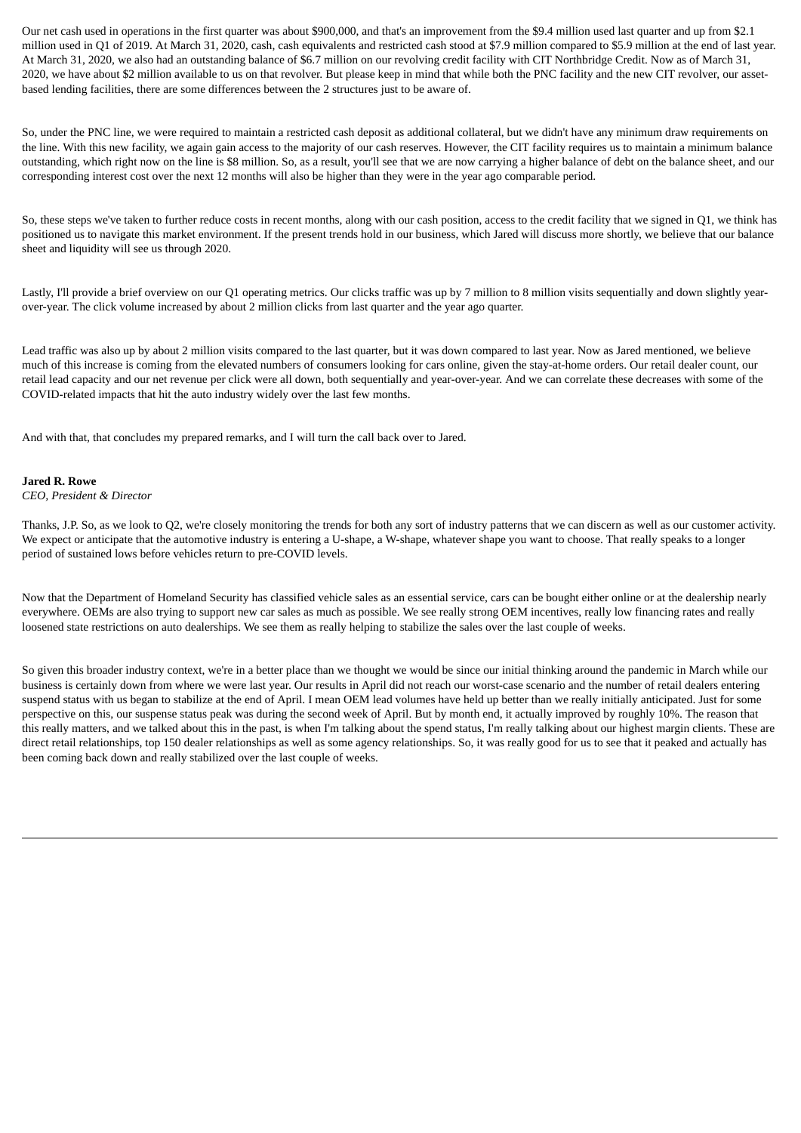Our net cash used in operations in the first quarter was about \$900,000, and that's an improvement from the \$9.4 million used last quarter and up from \$2.1 million used in Q1 of 2019. At March 31, 2020, cash, cash equivalents and restricted cash stood at \$7.9 million compared to \$5.9 million at the end of last year. At March 31, 2020, we also had an outstanding balance of \$6.7 million on our revolving credit facility with CIT Northbridge Credit. Now as of March 31, 2020, we have about \$2 million available to us on that revolver. But please keep in mind that while both the PNC facility and the new CIT revolver, our assetbased lending facilities, there are some differences between the 2 structures just to be aware of.

So, under the PNC line, we were required to maintain a restricted cash deposit as additional collateral, but we didn't have any minimum draw requirements on the line. With this new facility, we again gain access to the majority of our cash reserves. However, the CIT facility requires us to maintain a minimum balance outstanding, which right now on the line is \$8 million. So, as a result, you'll see that we are now carrying a higher balance of debt on the balance sheet, and our corresponding interest cost over the next 12 months will also be higher than they were in the year ago comparable period.

So, these steps we've taken to further reduce costs in recent months, along with our cash position, access to the credit facility that we signed in Q1, we think has positioned us to navigate this market environment. If the present trends hold in our business, which Jared will discuss more shortly, we believe that our balance sheet and liquidity will see us through 2020.

Lastly, I'll provide a brief overview on our Q1 operating metrics. Our clicks traffic was up by 7 million to 8 million visits sequentially and down slightly yearover-year. The click volume increased by about 2 million clicks from last quarter and the year ago quarter.

Lead traffic was also up by about 2 million visits compared to the last quarter, but it was down compared to last year. Now as Jared mentioned, we believe much of this increase is coming from the elevated numbers of consumers looking for cars online, given the stay-at-home orders. Our retail dealer count, our retail lead capacity and our net revenue per click were all down, both sequentially and year-over-year. And we can correlate these decreases with some of the COVID-related impacts that hit the auto industry widely over the last few months.

And with that, that concludes my prepared remarks, and I will turn the call back over to Jared.

#### **Jared R. Rowe**

*CEO, President & Director*

Thanks, J.P. So, as we look to Q2, we're closely monitoring the trends for both any sort of industry patterns that we can discern as well as our customer activity. We expect or anticipate that the automotive industry is entering a U-shape, a W-shape, whatever shape you want to choose. That really speaks to a longer period of sustained lows before vehicles return to pre-COVID levels.

Now that the Department of Homeland Security has classified vehicle sales as an essential service, cars can be bought either online or at the dealership nearly everywhere. OEMs are also trying to support new car sales as much as possible. We see really strong OEM incentives, really low financing rates and really loosened state restrictions on auto dealerships. We see them as really helping to stabilize the sales over the last couple of weeks.

So given this broader industry context, we're in a better place than we thought we would be since our initial thinking around the pandemic in March while our business is certainly down from where we were last year. Our results in April did not reach our worst-case scenario and the number of retail dealers entering suspend status with us began to stabilize at the end of April. I mean OEM lead volumes have held up better than we really initially anticipated. Just for some perspective on this, our suspense status peak was during the second week of April. But by month end, it actually improved by roughly 10%. The reason that this really matters, and we talked about this in the past, is when I'm talking about the spend status, I'm really talking about our highest margin clients. These are direct retail relationships, top 150 dealer relationships as well as some agency relationships. So, it was really good for us to see that it peaked and actually has been coming back down and really stabilized over the last couple of weeks.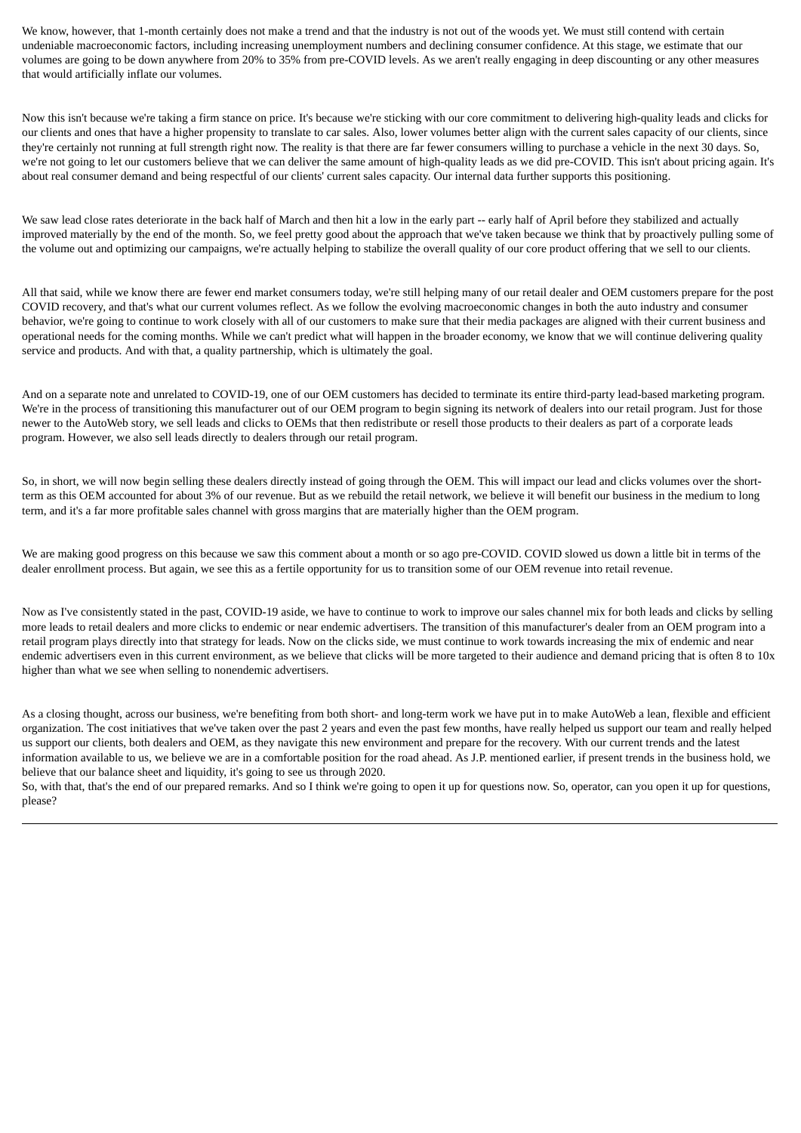We know, however, that 1-month certainly does not make a trend and that the industry is not out of the woods yet. We must still contend with certain undeniable macroeconomic factors, including increasing unemployment numbers and declining consumer confidence. At this stage, we estimate that our volumes are going to be down anywhere from 20% to 35% from pre-COVID levels. As we aren't really engaging in deep discounting or any other measures that would artificially inflate our volumes.

Now this isn't because we're taking a firm stance on price. It's because we're sticking with our core commitment to delivering high-quality leads and clicks for our clients and ones that have a higher propensity to translate to car sales. Also, lower volumes better align with the current sales capacity of our clients, since they're certainly not running at full strength right now. The reality is that there are far fewer consumers willing to purchase a vehicle in the next 30 days. So, we're not going to let our customers believe that we can deliver the same amount of high-quality leads as we did pre-COVID. This isn't about pricing again. It's about real consumer demand and being respectful of our clients' current sales capacity. Our internal data further supports this positioning.

We saw lead close rates deteriorate in the back half of March and then hit a low in the early part -- early half of April before they stabilized and actually improved materially by the end of the month. So, we feel pretty good about the approach that we've taken because we think that by proactively pulling some of the volume out and optimizing our campaigns, we're actually helping to stabilize the overall quality of our core product offering that we sell to our clients.

All that said, while we know there are fewer end market consumers today, we're still helping many of our retail dealer and OEM customers prepare for the post COVID recovery, and that's what our current volumes reflect. As we follow the evolving macroeconomic changes in both the auto industry and consumer behavior, we're going to continue to work closely with all of our customers to make sure that their media packages are aligned with their current business and operational needs for the coming months. While we can't predict what will happen in the broader economy, we know that we will continue delivering quality service and products. And with that, a quality partnership, which is ultimately the goal.

And on a separate note and unrelated to COVID-19, one of our OEM customers has decided to terminate its entire third-party lead-based marketing program. We're in the process of transitioning this manufacturer out of our OEM program to begin signing its network of dealers into our retail program. Just for those newer to the AutoWeb story, we sell leads and clicks to OEMs that then redistribute or resell those products to their dealers as part of a corporate leads program. However, we also sell leads directly to dealers through our retail program.

So, in short, we will now begin selling these dealers directly instead of going through the OEM. This will impact our lead and clicks volumes over the shortterm as this OEM accounted for about 3% of our revenue. But as we rebuild the retail network, we believe it will benefit our business in the medium to long term, and it's a far more profitable sales channel with gross margins that are materially higher than the OEM program.

We are making good progress on this because we saw this comment about a month or so ago pre-COVID. COVID slowed us down a little bit in terms of the dealer enrollment process. But again, we see this as a fertile opportunity for us to transition some of our OEM revenue into retail revenue.

Now as I've consistently stated in the past, COVID-19 aside, we have to continue to work to improve our sales channel mix for both leads and clicks by selling more leads to retail dealers and more clicks to endemic or near endemic advertisers. The transition of this manufacturer's dealer from an OEM program into a retail program plays directly into that strategy for leads. Now on the clicks side, we must continue to work towards increasing the mix of endemic and near endemic advertisers even in this current environment, as we believe that clicks will be more targeted to their audience and demand pricing that is often 8 to 10x higher than what we see when selling to nonendemic advertisers.

As a closing thought, across our business, we're benefiting from both short- and long-term work we have put in to make AutoWeb a lean, flexible and efficient organization. The cost initiatives that we've taken over the past 2 years and even the past few months, have really helped us support our team and really helped us support our clients, both dealers and OEM, as they navigate this new environment and prepare for the recovery. With our current trends and the latest information available to us, we believe we are in a comfortable position for the road ahead. As J.P. mentioned earlier, if present trends in the business hold, we believe that our balance sheet and liquidity, it's going to see us through 2020.

So, with that, that's the end of our prepared remarks. And so I think we're going to open it up for questions now. So, operator, can you open it up for questions, please?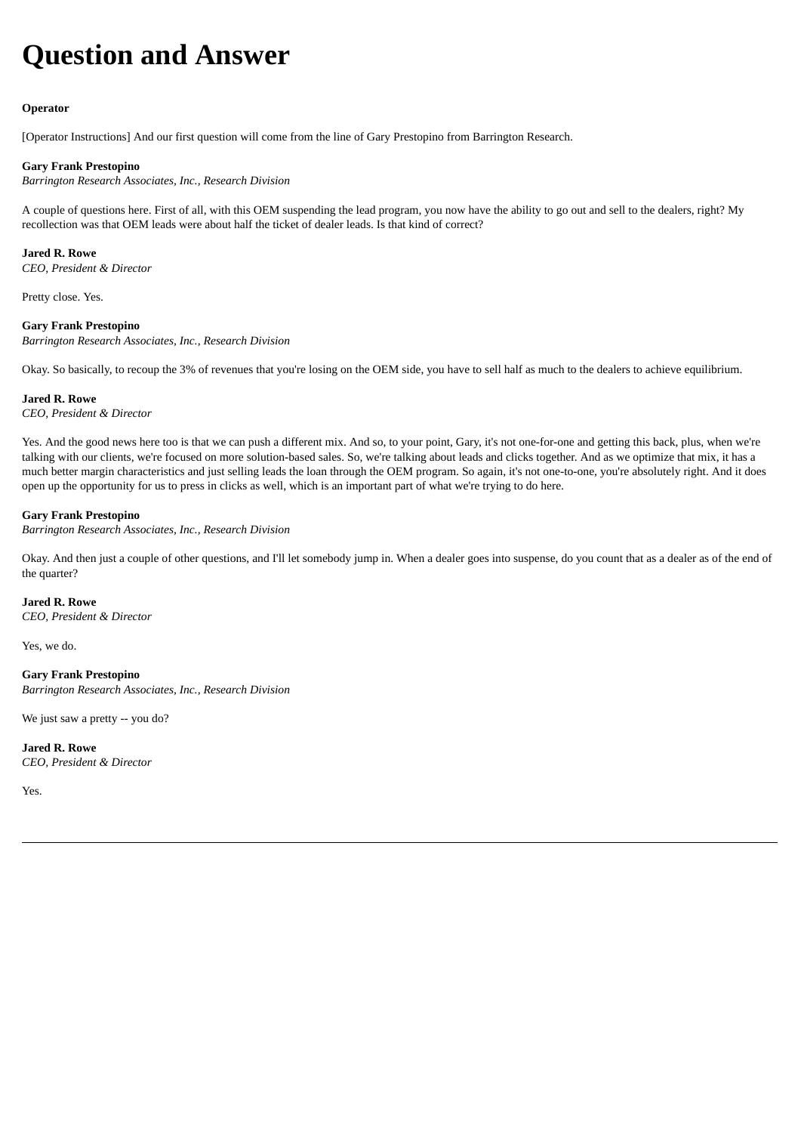## **Question and Answer**

#### **Operator**

[Operator Instructions] And our first question will come from the line of Gary Prestopino from Barrington Research.

#### **Gary Frank Prestopino**

*Barrington Research Associates, Inc., Research Division*

A couple of questions here. First of all, with this OEM suspending the lead program, you now have the ability to go out and sell to the dealers, right? My recollection was that OEM leads were about half the ticket of dealer leads. Is that kind of correct?

#### **Jared R. Rowe**

*CEO, President & Director*

Pretty close. Yes.

### **Gary Frank Prestopino**

*Barrington Research Associates, Inc., Research Division*

Okay. So basically, to recoup the 3% of revenues that you're losing on the OEM side, you have to sell half as much to the dealers to achieve equilibrium.

#### **Jared R. Rowe**

*CEO, President & Director*

Yes. And the good news here too is that we can push a different mix. And so, to your point, Gary, it's not one-for-one and getting this back, plus, when we're talking with our clients, we're focused on more solution-based sales. So, we're talking about leads and clicks together. And as we optimize that mix, it has a much better margin characteristics and just selling leads the loan through the OEM program. So again, it's not one-to-one, you're absolutely right. And it does open up the opportunity for us to press in clicks as well, which is an important part of what we're trying to do here.

#### **Gary Frank Prestopino**

*Barrington Research Associates, Inc., Research Division*

Okay. And then just a couple of other questions, and I'll let somebody jump in. When a dealer goes into suspense, do you count that as a dealer as of the end of the quarter?

### **Jared R. Rowe**

*CEO, President & Director*

Yes, we do.

**Gary Frank Prestopino** *Barrington Research Associates, Inc., Research Division*

We just saw a pretty -- you do?

**Jared R. Rowe** *CEO, President & Director*

Yes.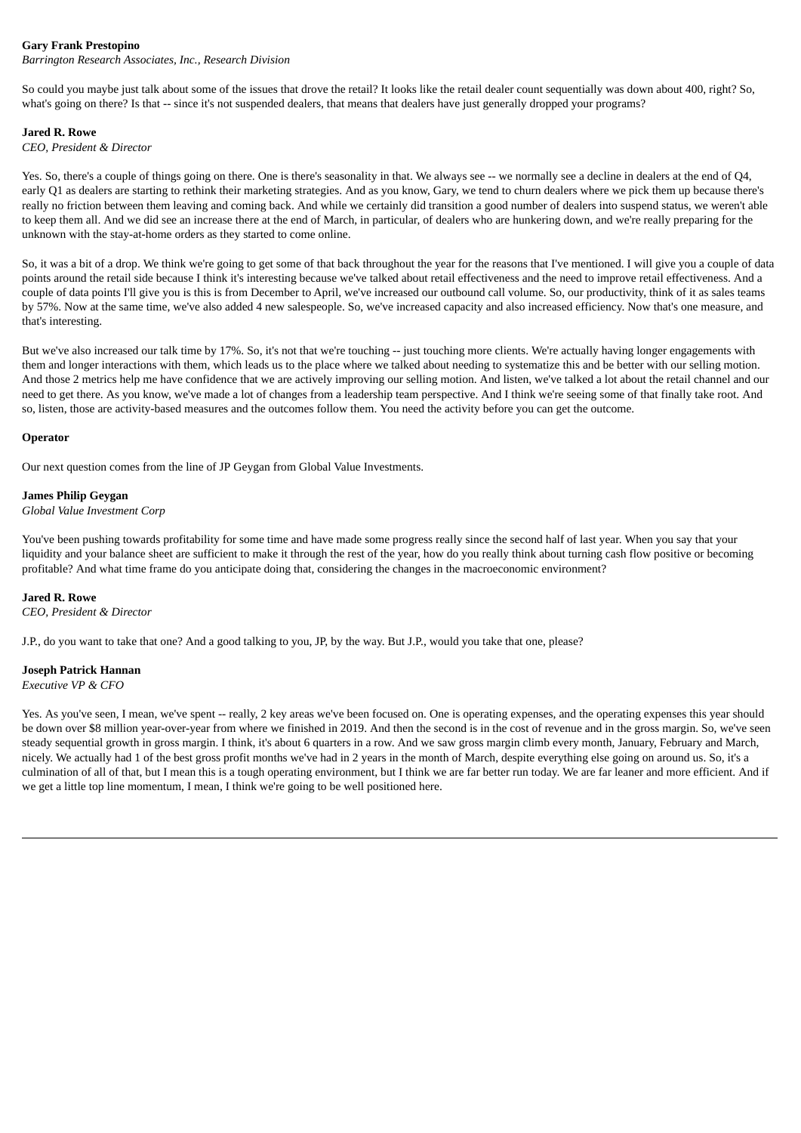#### **Gary Frank Prestopino**

#### *Barrington Research Associates, Inc., Research Division*

So could you maybe just talk about some of the issues that drove the retail? It looks like the retail dealer count sequentially was down about 400, right? So, what's going on there? Is that -- since it's not suspended dealers, that means that dealers have just generally dropped your programs?

#### **Jared R. Rowe**

#### *CEO, President & Director*

Yes. So, there's a couple of things going on there. One is there's seasonality in that. We always see -- we normally see a decline in dealers at the end of Q4, early Q1 as dealers are starting to rethink their marketing strategies. And as you know, Gary, we tend to churn dealers where we pick them up because there's really no friction between them leaving and coming back. And while we certainly did transition a good number of dealers into suspend status, we weren't able to keep them all. And we did see an increase there at the end of March, in particular, of dealers who are hunkering down, and we're really preparing for the unknown with the stay-at-home orders as they started to come online.

So, it was a bit of a drop. We think we're going to get some of that back throughout the year for the reasons that I've mentioned. I will give you a couple of data points around the retail side because I think it's interesting because we've talked about retail effectiveness and the need to improve retail effectiveness. And a couple of data points I'll give you is this is from December to April, we've increased our outbound call volume. So, our productivity, think of it as sales teams by 57%. Now at the same time, we've also added 4 new salespeople. So, we've increased capacity and also increased efficiency. Now that's one measure, and that's interesting.

But we've also increased our talk time by 17%. So, it's not that we're touching -- just touching more clients. We're actually having longer engagements with them and longer interactions with them, which leads us to the place where we talked about needing to systematize this and be better with our selling motion. And those 2 metrics help me have confidence that we are actively improving our selling motion. And listen, we've talked a lot about the retail channel and our need to get there. As you know, we've made a lot of changes from a leadership team perspective. And I think we're seeing some of that finally take root. And so, listen, those are activity-based measures and the outcomes follow them. You need the activity before you can get the outcome.

#### **Operator**

Our next question comes from the line of JP Geygan from Global Value Investments.

#### **James Philip Geygan**

*Global Value Investment Corp*

You've been pushing towards profitability for some time and have made some progress really since the second half of last year. When you say that your liquidity and your balance sheet are sufficient to make it through the rest of the year, how do you really think about turning cash flow positive or becoming profitable? And what time frame do you anticipate doing that, considering the changes in the macroeconomic environment?

#### **Jared R. Rowe**

*CEO, President & Director*

J.P., do you want to take that one? And a good talking to you, JP, by the way. But J.P., would you take that one, please?

#### **Joseph Patrick Hannan**

*Executive VP & CFO*

Yes. As you've seen, I mean, we've spent -- really, 2 key areas we've been focused on. One is operating expenses, and the operating expenses this year should be down over \$8 million year-over-year from where we finished in 2019. And then the second is in the cost of revenue and in the gross margin. So, we've seen steady sequential growth in gross margin. I think, it's about 6 quarters in a row. And we saw gross margin climb every month, January, February and March, nicely. We actually had 1 of the best gross profit months we've had in 2 years in the month of March, despite everything else going on around us. So, it's a culmination of all of that, but I mean this is a tough operating environment, but I think we are far better run today. We are far leaner and more efficient. And if we get a little top line momentum, I mean, I think we're going to be well positioned here.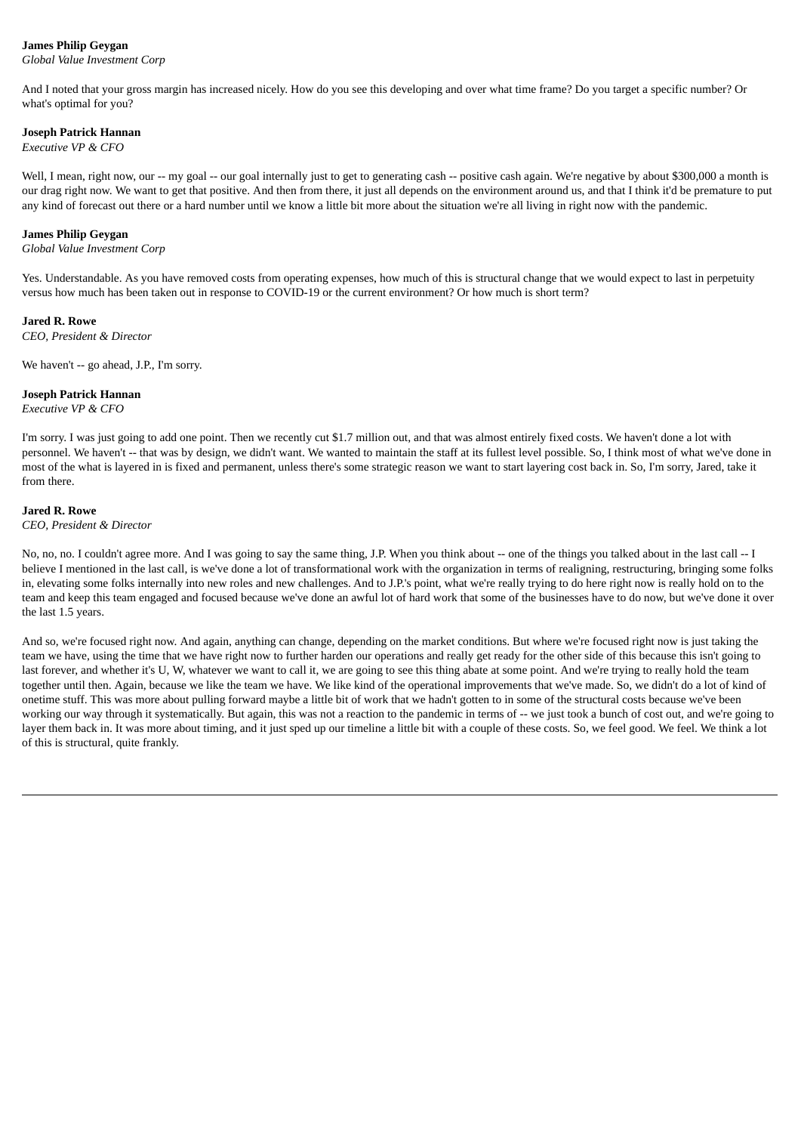And I noted that your gross margin has increased nicely. How do you see this developing and over what time frame? Do you target a specific number? Or what's optimal for you?

## **Joseph Patrick Hannan**

*Executive VP & CFO*

Well, I mean, right now, our -- my goal -- our goal internally just to get to generating cash -- positive cash again. We're negative by about \$300,000 a month is our drag right now. We want to get that positive. And then from there, it just all depends on the environment around us, and that I think it'd be premature to put any kind of forecast out there or a hard number until we know a little bit more about the situation we're all living in right now with the pandemic.

## **James Philip Geygan**

*Global Value Investment Corp*

Yes. Understandable. As you have removed costs from operating expenses, how much of this is structural change that we would expect to last in perpetuity versus how much has been taken out in response to COVID-19 or the current environment? Or how much is short term?

#### **Jared R. Rowe**

*CEO, President & Director*

We haven't -- go ahead, J.P., I'm sorry.

#### **Joseph Patrick Hannan**

*Executive VP & CFO*

I'm sorry. I was just going to add one point. Then we recently cut \$1.7 million out, and that was almost entirely fixed costs. We haven't done a lot with personnel. We haven't -- that was by design, we didn't want. We wanted to maintain the staff at its fullest level possible. So, I think most of what we've done in most of the what is layered in is fixed and permanent, unless there's some strategic reason we want to start layering cost back in. So, I'm sorry, Jared, take it from there.

#### **Jared R. Rowe**

*CEO, President & Director*

No, no, no. I couldn't agree more. And I was going to say the same thing, J.P. When you think about -- one of the things you talked about in the last call -- I believe I mentioned in the last call, is we've done a lot of transformational work with the organization in terms of realigning, restructuring, bringing some folks in, elevating some folks internally into new roles and new challenges. And to J.P.'s point, what we're really trying to do here right now is really hold on to the team and keep this team engaged and focused because we've done an awful lot of hard work that some of the businesses have to do now, but we've done it over the last 1.5 years.

And so, we're focused right now. And again, anything can change, depending on the market conditions. But where we're focused right now is just taking the team we have, using the time that we have right now to further harden our operations and really get ready for the other side of this because this isn't going to last forever, and whether it's U, W, whatever we want to call it, we are going to see this thing abate at some point. And we're trying to really hold the team together until then. Again, because we like the team we have. We like kind of the operational improvements that we've made. So, we didn't do a lot of kind of onetime stuff. This was more about pulling forward maybe a little bit of work that we hadn't gotten to in some of the structural costs because we've been working our way through it systematically. But again, this was not a reaction to the pandemic in terms of -- we just took a bunch of cost out, and we're going to layer them back in. It was more about timing, and it just sped up our timeline a little bit with a couple of these costs. So, we feel good. We feel. We think a lot of this is structural, quite frankly.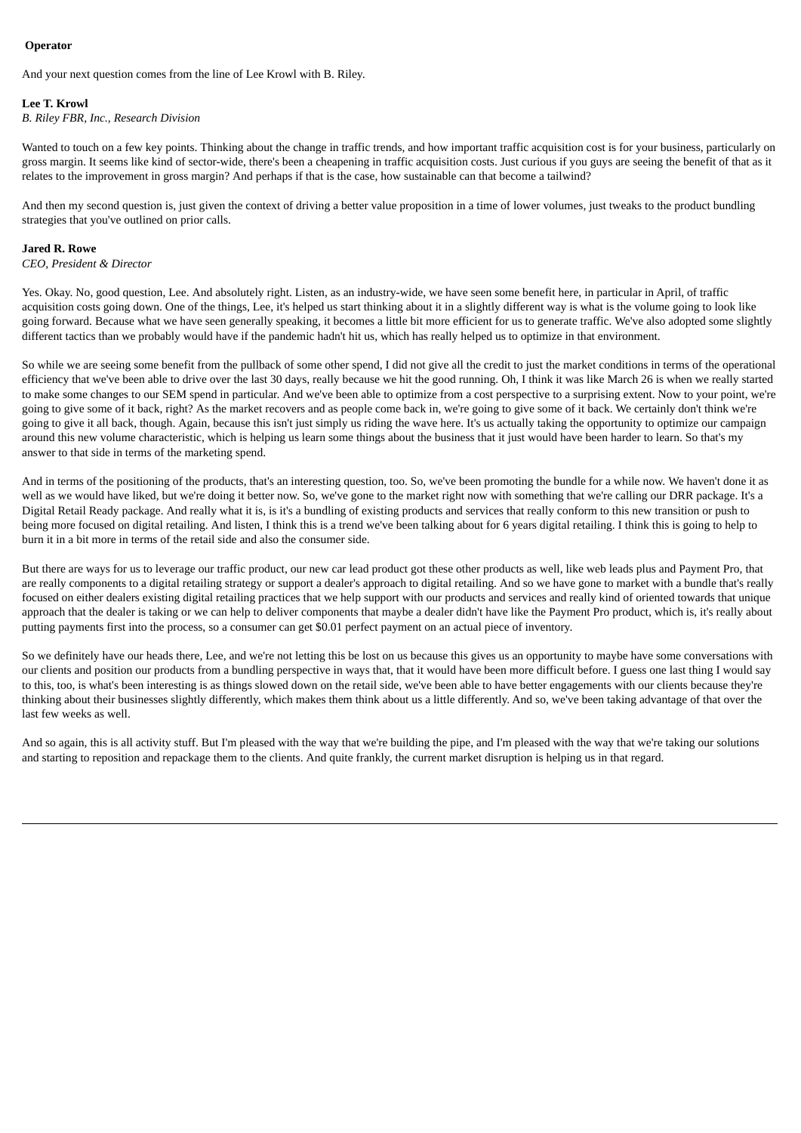#### **Operator**

And your next question comes from the line of Lee Krowl with B. Riley.

#### **Lee T. Krowl**

*B. Riley FBR, Inc., Research Division*

Wanted to touch on a few key points. Thinking about the change in traffic trends, and how important traffic acquisition cost is for your business, particularly on gross margin. It seems like kind of sector-wide, there's been a cheapening in traffic acquisition costs. Just curious if you guys are seeing the benefit of that as it relates to the improvement in gross margin? And perhaps if that is the case, how sustainable can that become a tailwind?

And then my second question is, just given the context of driving a better value proposition in a time of lower volumes, just tweaks to the product bundling strategies that you've outlined on prior calls.

#### **Jared R. Rowe**

*CEO, President & Director*

Yes. Okay. No, good question, Lee. And absolutely right. Listen, as an industry-wide, we have seen some benefit here, in particular in April, of traffic acquisition costs going down. One of the things, Lee, it's helped us start thinking about it in a slightly different way is what is the volume going to look like going forward. Because what we have seen generally speaking, it becomes a little bit more efficient for us to generate traffic. We've also adopted some slightly different tactics than we probably would have if the pandemic hadn't hit us, which has really helped us to optimize in that environment.

So while we are seeing some benefit from the pullback of some other spend, I did not give all the credit to just the market conditions in terms of the operational efficiency that we've been able to drive over the last 30 days, really because we hit the good running. Oh, I think it was like March 26 is when we really started to make some changes to our SEM spend in particular. And we've been able to optimize from a cost perspective to a surprising extent. Now to your point, we're going to give some of it back, right? As the market recovers and as people come back in, we're going to give some of it back. We certainly don't think we're going to give it all back, though. Again, because this isn't just simply us riding the wave here. It's us actually taking the opportunity to optimize our campaign around this new volume characteristic, which is helping us learn some things about the business that it just would have been harder to learn. So that's my answer to that side in terms of the marketing spend.

And in terms of the positioning of the products, that's an interesting question, too. So, we've been promoting the bundle for a while now. We haven't done it as well as we would have liked, but we're doing it better now. So, we've gone to the market right now with something that we're calling our DRR package. It's a Digital Retail Ready package. And really what it is, is it's a bundling of existing products and services that really conform to this new transition or push to being more focused on digital retailing. And listen. I think this is a trend we've been talking about for 6 years digital retailing. I think this is going to help to burn it in a bit more in terms of the retail side and also the consumer side.

But there are ways for us to leverage our traffic product, our new car lead product got these other products as well, like web leads plus and Payment Pro, that are really components to a digital retailing strategy or support a dealer's approach to digital retailing. And so we have gone to market with a bundle that's really focused on either dealers existing digital retailing practices that we help support with our products and services and really kind of oriented towards that unique approach that the dealer is taking or we can help to deliver components that maybe a dealer didn't have like the Payment Pro product, which is, it's really about putting payments first into the process, so a consumer can get \$0.01 perfect payment on an actual piece of inventory.

So we definitely have our heads there, Lee, and we're not letting this be lost on us because this gives us an opportunity to maybe have some conversations with our clients and position our products from a bundling perspective in ways that, that it would have been more difficult before. I guess one last thing I would say to this, too, is what's been interesting is as things slowed down on the retail side, we've been able to have better engagements with our clients because they're thinking about their businesses slightly differently, which makes them think about us a little differently. And so, we've been taking advantage of that over the last few weeks as well.

And so again, this is all activity stuff. But I'm pleased with the way that we're building the pipe, and I'm pleased with the way that we're taking our solutions and starting to reposition and repackage them to the clients. And quite frankly, the current market disruption is helping us in that regard.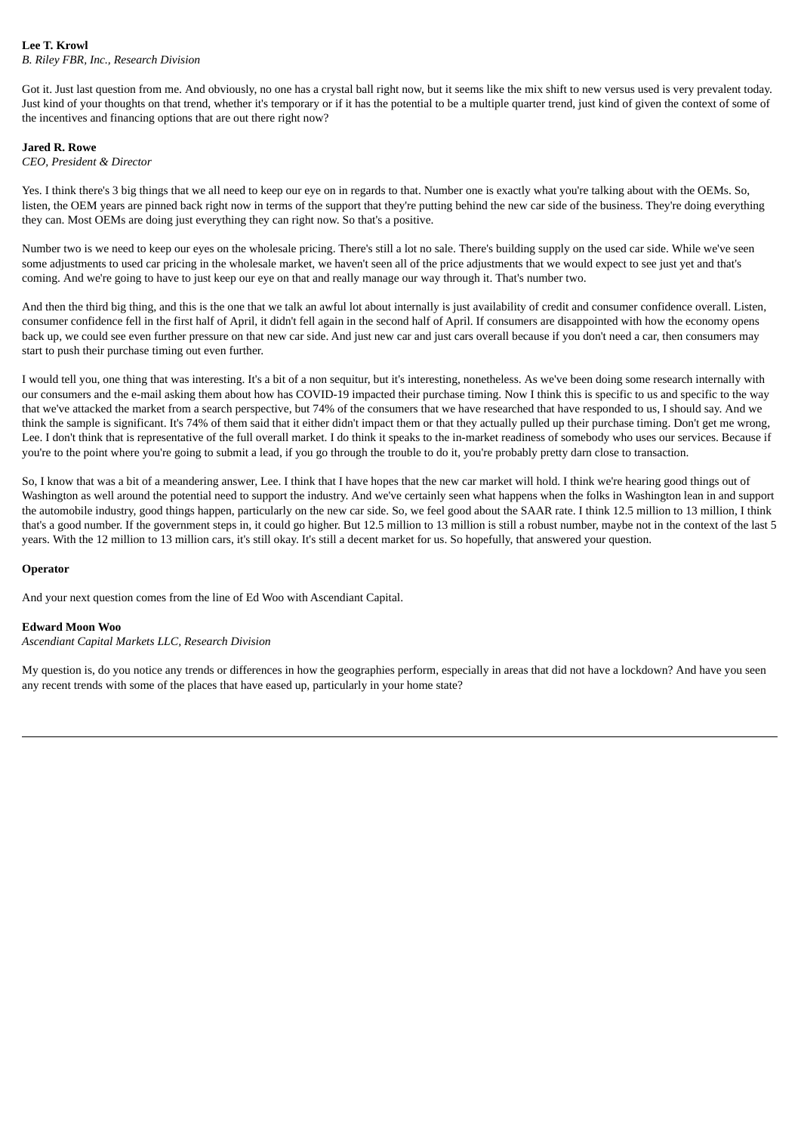#### **Lee T. Krowl** *B. Riley FBR, Inc., Research Division*

Got it. Just last question from me. And obviously, no one has a crystal ball right now, but it seems like the mix shift to new versus used is very prevalent today. Just kind of your thoughts on that trend, whether it's temporary or if it has the potential to be a multiple quarter trend, just kind of given the context of some of the incentives and financing options that are out there right now?

#### **Jared R. Rowe**

*CEO, President & Director*

Yes. I think there's 3 big things that we all need to keep our eye on in regards to that. Number one is exactly what you're talking about with the OEMs. So, listen, the OEM years are pinned back right now in terms of the support that they're putting behind the new car side of the business. They're doing everything they can. Most OEMs are doing just everything they can right now. So that's a positive.

Number two is we need to keep our eyes on the wholesale pricing. There's still a lot no sale. There's building supply on the used car side. While we've seen some adjustments to used car pricing in the wholesale market, we haven't seen all of the price adjustments that we would expect to see just yet and that's coming. And we're going to have to just keep our eye on that and really manage our way through it. That's number two.

And then the third big thing, and this is the one that we talk an awful lot about internally is just availability of credit and consumer confidence overall. Listen, consumer confidence fell in the first half of April, it didn't fell again in the second half of April. If consumers are disappointed with how the economy opens back up, we could see even further pressure on that new car side. And just new car and just cars overall because if you don't need a car, then consumers may start to push their purchase timing out even further.

I would tell you, one thing that was interesting. It's a bit of a non sequitur, but it's interesting, nonetheless. As we've been doing some research internally with our consumers and the e-mail asking them about how has COVID-19 impacted their purchase timing. Now I think this is specific to us and specific to the way that we've attacked the market from a search perspective, but 74% of the consumers that we have researched that have responded to us, I should say. And we think the sample is significant. It's 74% of them said that it either didn't impact them or that they actually pulled up their purchase timing. Don't get me wrong, Lee. I don't think that is representative of the full overall market. I do think it speaks to the in-market readiness of somebody who uses our services. Because if you're to the point where you're going to submit a lead, if you go through the trouble to do it, you're probably pretty darn close to transaction.

So, I know that was a bit of a meandering answer, Lee. I think that I have hopes that the new car market will hold. I think we're hearing good things out of Washington as well around the potential need to support the industry. And we've certainly seen what happens when the folks in Washington lean in and support the automobile industry, good things happen, particularly on the new car side. So, we feel good about the SAAR rate. I think 12.5 million to 13 million, I think that's a good number. If the government steps in, it could go higher. But 12.5 million to 13 million is still a robust number, maybe not in the context of the last 5 years. With the 12 million to 13 million cars, it's still okay. It's still a decent market for us. So hopefully, that answered your question.

#### **Operator**

And your next question comes from the line of Ed Woo with Ascendiant Capital.

#### **Edward Moon Woo**

*Ascendiant Capital Markets LLC, Research Division*

My question is, do you notice any trends or differences in how the geographies perform, especially in areas that did not have a lockdown? And have you seen any recent trends with some of the places that have eased up, particularly in your home state?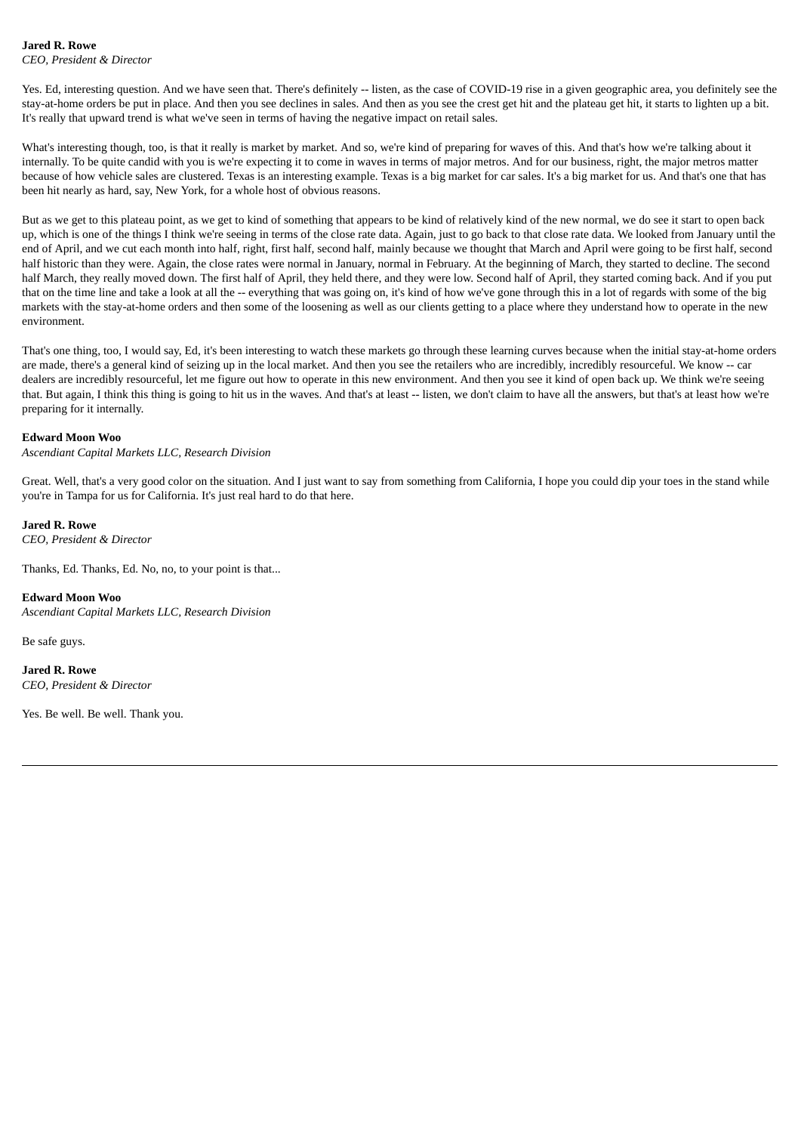#### **Jared R. Rowe** *CEO, President & Director*

Yes. Ed, interesting question. And we have seen that. There's definitely -- listen, as the case of COVID-19 rise in a given geographic area, you definitely see the stay-at-home orders be put in place. And then you see declines in sales. And then as you see the crest get hit and the plateau get hit, it starts to lighten up a bit. It's really that upward trend is what we've seen in terms of having the negative impact on retail sales.

What's interesting though, too, is that it really is market by market. And so, we're kind of preparing for waves of this. And that's how we're talking about it internally. To be quite candid with you is we're expecting it to come in waves in terms of major metros. And for our business, right, the major metros matter because of how vehicle sales are clustered. Texas is an interesting example. Texas is a big market for car sales. It's a big market for us. And that's one that has been hit nearly as hard, say, New York, for a whole host of obvious reasons.

But as we get to this plateau point, as we get to kind of something that appears to be kind of relatively kind of the new normal, we do see it start to open back up, which is one of the things I think we're seeing in terms of the close rate data. Again, just to go back to that close rate data. We looked from January until the end of April, and we cut each month into half, right, first half, second half, mainly because we thought that March and April were going to be first half, second half historic than they were. Again, the close rates were normal in January, normal in February. At the beginning of March, they started to decline. The second half March, they really moved down. The first half of April, they held there, and they were low. Second half of April, they started coming back. And if you put that on the time line and take a look at all the -- everything that was going on, it's kind of how we've gone through this in a lot of regards with some of the big markets with the stay-at-home orders and then some of the loosening as well as our clients getting to a place where they understand how to operate in the new environment.

That's one thing, too, I would say, Ed, it's been interesting to watch these markets go through these learning curves because when the initial stay-at-home orders are made, there's a general kind of seizing up in the local market. And then you see the retailers who are incredibly, incredibly resourceful. We know -- car dealers are incredibly resourceful, let me figure out how to operate in this new environment. And then you see it kind of open back up. We think we're seeing that. But again, I think this thing is going to hit us in the waves. And that's at least -- listen, we don't claim to have all the answers, but that's at least how we're preparing for it internally.

#### **Edward Moon Woo**

*Ascendiant Capital Markets LLC, Research Division*

Great. Well, that's a very good color on the situation. And I just want to say from something from California, I hope you could dip your toes in the stand while you're in Tampa for us for California. It's just real hard to do that here.

**Jared R. Rowe** *CEO, President & Director*

Thanks, Ed. Thanks, Ed. No, no, to your point is that...

#### **Edward Moon Woo**

*Ascendiant Capital Markets LLC, Research Division*

Be safe guys.

**Jared R. Rowe** *CEO, President & Director*

Yes. Be well. Be well. Thank you.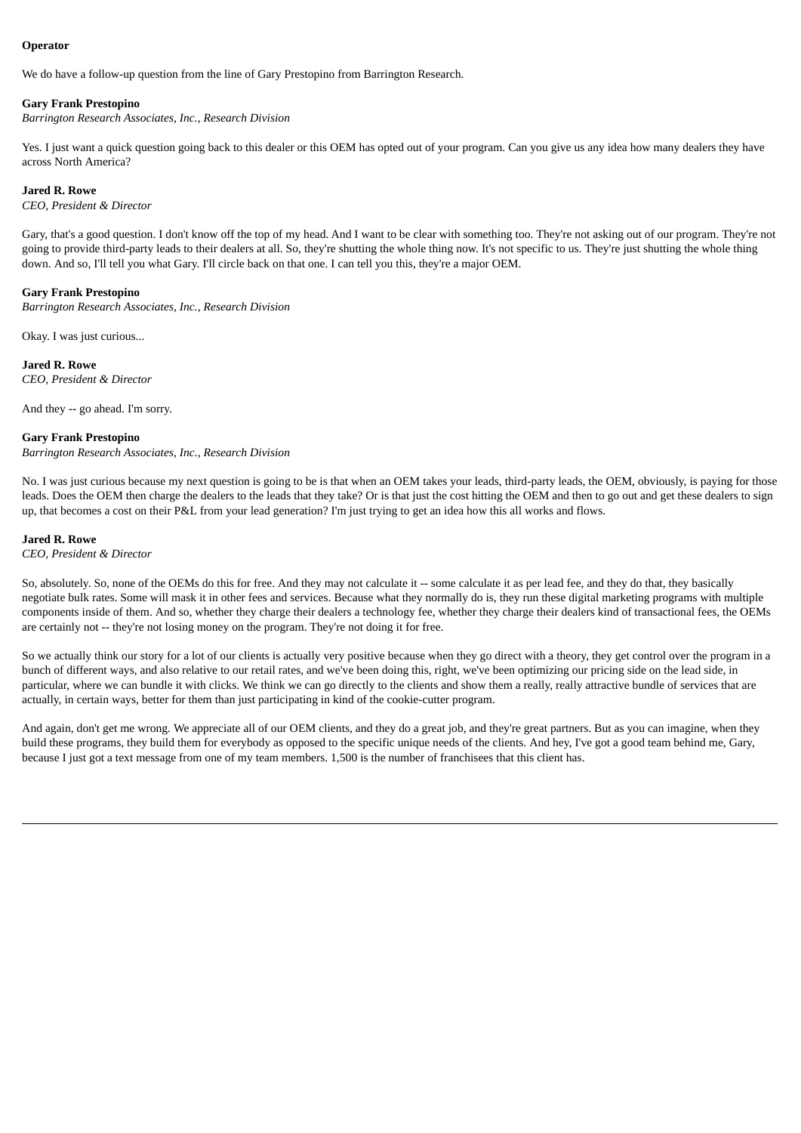#### **Operator**

We do have a follow-up question from the line of Gary Prestopino from Barrington Research.

#### **Gary Frank Prestopino**

*Barrington Research Associates, Inc., Research Division*

Yes. I just want a quick question going back to this dealer or this OEM has opted out of your program. Can you give us any idea how many dealers they have across North America?

#### **Jared R. Rowe**

*CEO, President & Director*

Gary, that's a good question. I don't know off the top of my head. And I want to be clear with something too. They're not asking out of our program. They're not going to provide third-party leads to their dealers at all. So, they're shutting the whole thing now. It's not specific to us. They're just shutting the whole thing down. And so, I'll tell you what Gary. I'll circle back on that one. I can tell you this, they're a major OEM.

#### **Gary Frank Prestopino**

*Barrington Research Associates, Inc., Research Division*

Okay. I was just curious...

**Jared R. Rowe** *CEO, President & Director*

And they -- go ahead. I'm sorry.

#### **Gary Frank Prestopino**

*Barrington Research Associates, Inc., Research Division*

No. I was just curious because my next question is going to be is that when an OEM takes your leads, third-party leads, the OEM, obviously, is paying for those leads. Does the OEM then charge the dealers to the leads that they take? Or is that just the cost hitting the OEM and then to go out and get these dealers to sign up, that becomes a cost on their P&L from your lead generation? I'm just trying to get an idea how this all works and flows.

#### **Jared R. Rowe**

*CEO, President & Director*

So, absolutely. So, none of the OEMs do this for free. And they may not calculate it -- some calculate it as per lead fee, and they do that, they basically negotiate bulk rates. Some will mask it in other fees and services. Because what they normally do is, they run these digital marketing programs with multiple components inside of them. And so, whether they charge their dealers a technology fee, whether they charge their dealers kind of transactional fees, the OEMs are certainly not -- they're not losing money on the program. They're not doing it for free.

So we actually think our story for a lot of our clients is actually very positive because when they go direct with a theory, they get control over the program in a bunch of different ways, and also relative to our retail rates, and we've been doing this, right, we've been optimizing our pricing side on the lead side, in particular, where we can bundle it with clicks. We think we can go directly to the clients and show them a really, really attractive bundle of services that are actually, in certain ways, better for them than just participating in kind of the cookie-cutter program.

And again, don't get me wrong. We appreciate all of our OEM clients, and they do a great job, and they're great partners. But as you can imagine, when they build these programs, they build them for everybody as opposed to the specific unique needs of the clients. And hey, I've got a good team behind me, Gary, because I just got a text message from one of my team members. 1,500 is the number of franchisees that this client has.